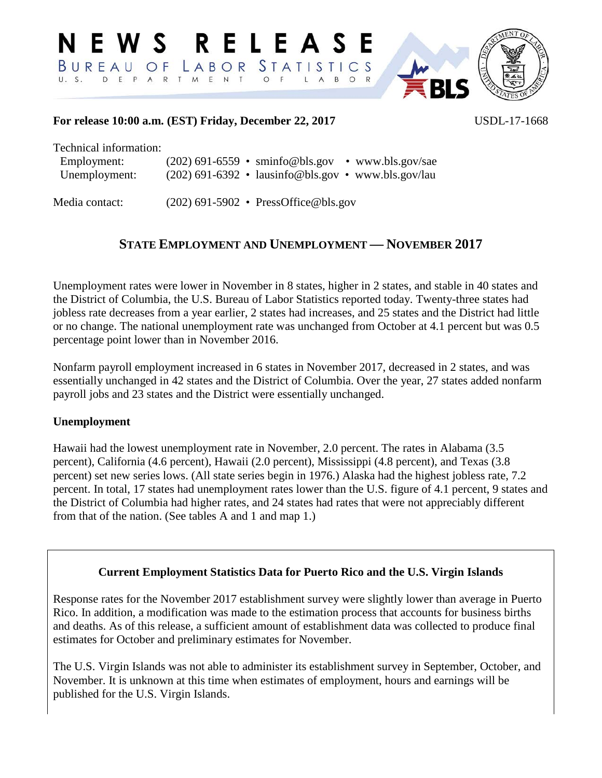

### **For release 10:00 a.m. (EST) Friday, December 22, 2017** USDL-17-1668

Technical information:

| Employment:    | $(202)$ 691-6559 • sminfo@bls.gov • www.bls.gov/sae   |
|----------------|-------------------------------------------------------|
| Unemployment:  | $(202)$ 691-6392 • lausinfo@bls.gov • www.bls.gov/lau |
| Media contact: | $(202)$ 691-5902 • PressOffice@bls.gov                |

## **STATE EMPLOYMENT AND UNEMPLOYMENT — NOVEMBER 2017**

Unemployment rates were lower in November in 8 states, higher in 2 states, and stable in 40 states and the District of Columbia, the U.S. Bureau of Labor Statistics reported today. Twenty-three states had jobless rate decreases from a year earlier, 2 states had increases, and 25 states and the District had little or no change. The national unemployment rate was unchanged from October at 4.1 percent but was 0.5 percentage point lower than in November 2016.

Nonfarm payroll employment increased in 6 states in November 2017, decreased in 2 states, and was essentially unchanged in 42 states and the District of Columbia. Over the year, 27 states added nonfarm payroll jobs and 23 states and the District were essentially unchanged.

### **Unemployment**

Hawaii had the lowest unemployment rate in November, 2.0 percent. The rates in Alabama (3.5 percent), California (4.6 percent), Hawaii (2.0 percent), Mississippi (4.8 percent), and Texas (3.8 percent) set new series lows. (All state series begin in 1976.) Alaska had the highest jobless rate, 7.2 percent. In total, 17 states had unemployment rates lower than the U.S. figure of 4.1 percent, 9 states and the District of Columbia had higher rates, and 24 states had rates that were not appreciably different from that of the nation. (See tables A and 1 and map 1.)

### **Current Employment Statistics Data for Puerto Rico and the U.S. Virgin Islands**

Response rates for the November 2017 establishment survey were slightly lower than average in Puerto Rico. In addition, a modification was made to the estimation process that accounts for business births and deaths. As of this release, a sufficient amount of establishment data was collected to produce final estimates for October and preliminary estimates for November.

The U.S. Virgin Islands was not able to administer its establishment survey in September, October, and November. It is unknown at this time when estimates of employment, hours and earnings will be published for the U.S. Virgin Islands.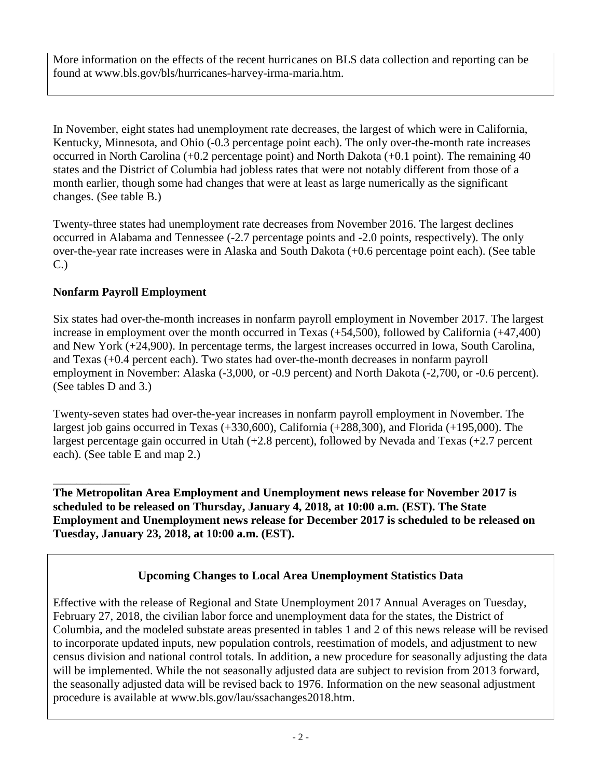More information on the effects of the recent hurricanes on BLS data collection and reporting can be found at www.bls.gov/bls/hurricanes-harvey-irma-maria.htm.

In November, eight states had unemployment rate decreases, the largest of which were in California, Kentucky, Minnesota, and Ohio (-0.3 percentage point each). The only over-the-month rate increases occurred in North Carolina (+0.2 percentage point) and North Dakota (+0.1 point). The remaining 40 states and the District of Columbia had jobless rates that were not notably different from those of a month earlier, though some had changes that were at least as large numerically as the significant changes. (See table B.)

Twenty-three states had unemployment rate decreases from November 2016. The largest declines occurred in Alabama and Tennessee (-2.7 percentage points and -2.0 points, respectively). The only over-the-year rate increases were in Alaska and South Dakota (+0.6 percentage point each). (See table C.)

## **Nonfarm Payroll Employment**

Six states had over-the-month increases in nonfarm payroll employment in November 2017. The largest increase in employment over the month occurred in Texas (+54,500), followed by California (+47,400) and New York (+24,900). In percentage terms, the largest increases occurred in Iowa, South Carolina, and Texas (+0.4 percent each). Two states had over-the-month decreases in nonfarm payroll employment in November: Alaska (-3,000, or -0.9 percent) and North Dakota (-2,700, or -0.6 percent). (See tables D and 3.)

Twenty-seven states had over-the-year increases in nonfarm payroll employment in November. The largest job gains occurred in Texas (+330,600), California (+288,300), and Florida (+195,000). The largest percentage gain occurred in Utah (+2.8 percent), followed by Nevada and Texas (+2.7 percent each). (See table E and map 2.)

\_\_\_\_\_\_\_\_\_\_\_\_\_ **The Metropolitan Area Employment and Unemployment news release for November 2017 is scheduled to be released on Thursday, January 4, 2018, at 10:00 a.m. (EST). The State Employment and Unemployment news release for December 2017 is scheduled to be released on Tuesday, January 23, 2018, at 10:00 a.m. (EST).**

# **Upcoming Changes to Local Area Unemployment Statistics Data**

Effective with the release of Regional and State Unemployment 2017 Annual Averages on Tuesday, February 27, 2018, the civilian labor force and unemployment data for the states, the District of Columbia, and the modeled substate areas presented in tables 1 and 2 of this news release will be revised to incorporate updated inputs, new population controls, reestimation of models, and adjustment to new census division and national control totals. In addition, a new procedure for seasonally adjusting the data will be implemented. While the not seasonally adjusted data are subject to revision from 2013 forward, the seasonally adjusted data will be revised back to 1976. Information on the new seasonal adjustment procedure is available at www.bls.gov/lau/ssachanges2018.htm.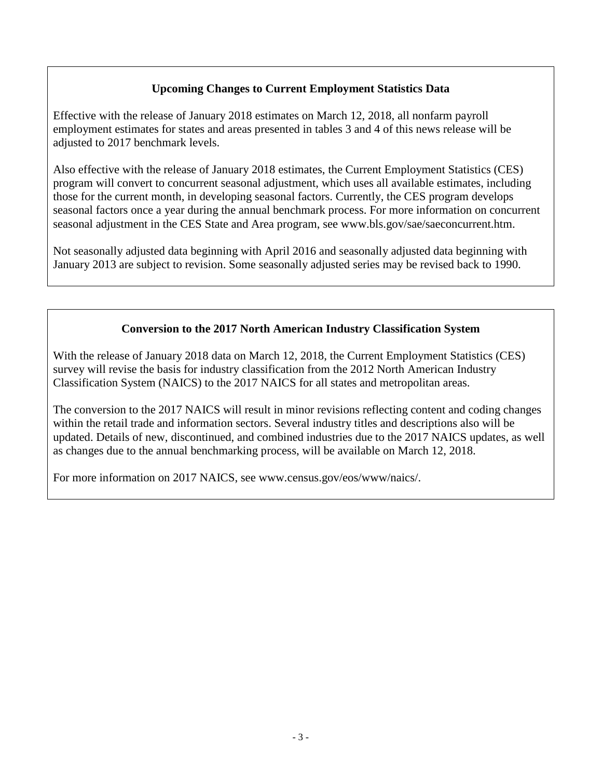## **Upcoming Changes to Current Employment Statistics Data**

Effective with the release of January 2018 estimates on March 12, 2018, all nonfarm payroll employment estimates for states and areas presented in tables 3 and 4 of this news release will be adjusted to 2017 benchmark levels.

Also effective with the release of January 2018 estimates, the Current Employment Statistics (CES) program will convert to concurrent seasonal adjustment, which uses all available estimates, including those for the current month, in developing seasonal factors. Currently, the CES program develops seasonal factors once a year during the annual benchmark process. For more information on concurrent seasonal adjustment in the CES State and Area program, see www.bls.gov/sae/saeconcurrent.htm.

Not seasonally adjusted data beginning with April 2016 and seasonally adjusted data beginning with January 2013 are subject to revision. Some seasonally adjusted series may be revised back to 1990.

## **Conversion to the 2017 North American Industry Classification System**

With the release of January 2018 data on March 12, 2018, the Current Employment Statistics (CES) survey will revise the basis for industry classification from the 2012 North American Industry Classification System (NAICS) to the 2017 NAICS for all states and metropolitan areas.

The conversion to the 2017 NAICS will result in minor revisions reflecting content and coding changes within the retail trade and information sectors. Several industry titles and descriptions also will be updated. Details of new, discontinued, and combined industries due to the 2017 NAICS updates, as well as changes due to the annual benchmarking process, will be available on March 12, 2018.

For more information on 2017 NAICS, see www.census.gov/eos/www/naics/.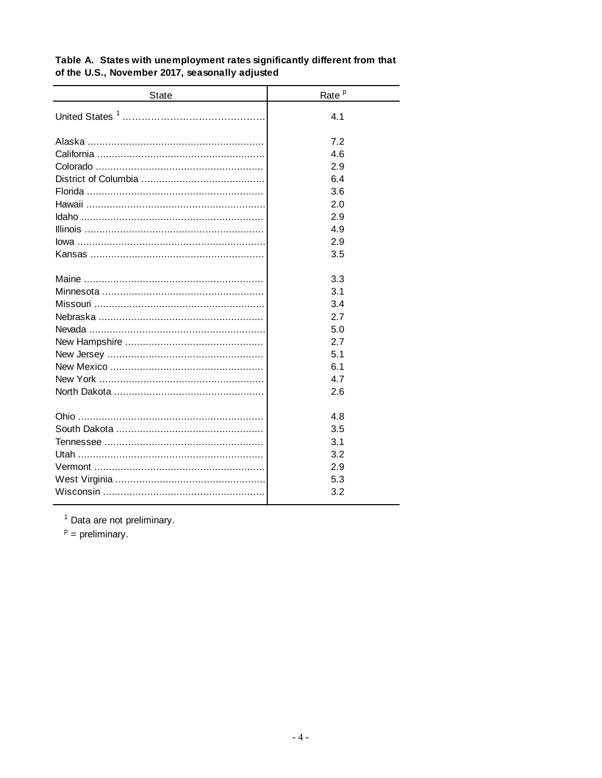| State | Rate <sup>p</sup> |
|-------|-------------------|
|       | 4.1               |
|       | 7.2               |
|       | 4.6               |
|       | 2.9               |
|       | 6.4               |
|       | 3.6               |
|       | 2.0               |
|       | 2.9               |
|       | 4.9               |
|       | 2.9               |
|       | 3.5               |
|       | 3.3               |
|       | 3.1               |
|       | 3.4               |
|       | 2.7               |
|       | 5.0               |
|       | 2.7               |
|       | 5.1               |
|       | 6.1               |
|       | 4.7               |
|       | 2.6               |
|       |                   |
|       | 4.8               |
|       | 3.5               |
|       | 3.1               |
|       | 3.2               |
|       | 2.9               |
|       | 5.3               |
|       | 3.2               |
|       |                   |

### Table A. States with unemployment rates significantly different from that of the U.S., November 2017, seasonally adjusted

 $1$  Data are not preliminary.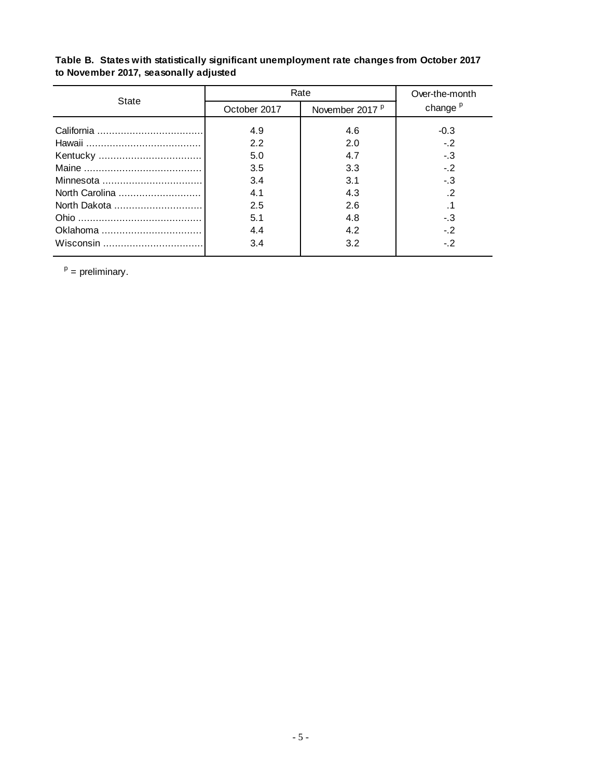| Table B. States with statistically significant unemployment rate changes from October 2017 |
|--------------------------------------------------------------------------------------------|
| to November 2017, seasonally adjusted                                                      |

| State          | Rate         | Over-the-month             |                     |  |  |
|----------------|--------------|----------------------------|---------------------|--|--|
|                | October 2017 | November 2017 <sup>P</sup> | change <sup>p</sup> |  |  |
|                | 4.9<br>2.2   | 4.6<br>2.0                 | $-0.3$<br>$-2$      |  |  |
|                | 5.0          | 4.7                        | $-3$                |  |  |
|                | 3.5<br>3.4   | 3.3<br>3.1                 | $-2$<br>-.3         |  |  |
| North Carolina | 4.1          | 4.3                        | $\cdot$             |  |  |
|                | 2.5          | 2.6                        |                     |  |  |
|                | 5.1          | 4.8                        | - 3                 |  |  |
|                | 4.4<br>3.4   | 4.2<br>3.2                 | $-2$<br>$-2$        |  |  |
|                |              |                            |                     |  |  |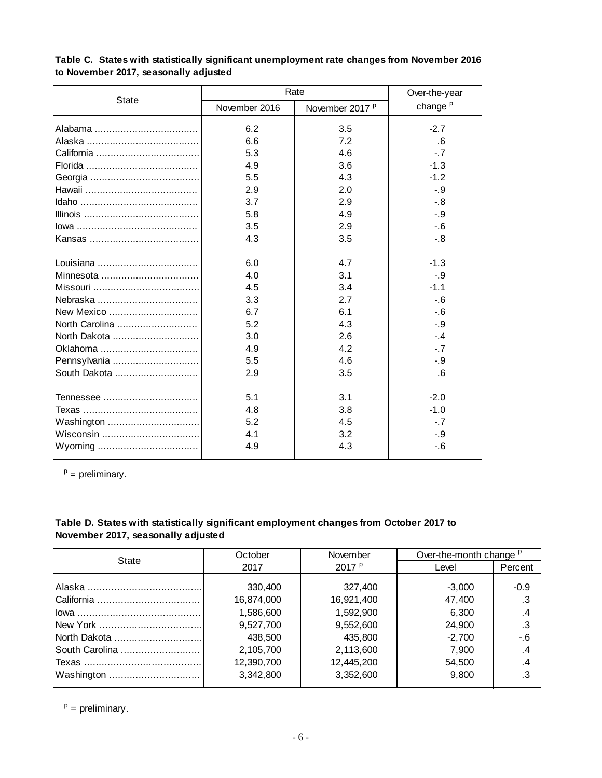|              | Rate          | Over-the-year              |                     |
|--------------|---------------|----------------------------|---------------------|
| <b>State</b> | November 2016 | November 2017 <sup>P</sup> | change <sup>p</sup> |
|              | 6.2           | 3.5                        | $-2.7$              |
|              | 6.6           | 7.2                        | .6                  |
|              | 5.3           | 4.6                        | $-7$                |
|              | 4.9           | 3.6                        | $-1.3$              |
|              | 5.5           | 4.3                        | $-1.2$              |
|              | 2.9           | 2.0                        | $-9$                |
|              | 3.7           | 2.9                        | $-8$                |
|              | 5.8           | 4.9                        | $-9$                |
|              | 3.5           | 2.9                        | $-6$                |
|              | 4.3           | 3.5                        | $-8$                |
|              | 6.0           | 4.7                        | $-1.3$              |
| Minnesota    | 4.0           | 3.1                        | $-.9$               |
|              | 4.5           | 3.4                        | $-1.1$              |
|              | 3.3           | 2.7                        | $-6$                |
| New Mexico   | 6.7           | 6.1                        | $-6$                |
|              | 5.2           | 4.3                        | $-.9$               |
|              | 3.0           | 2.6                        | $-.4$               |
| Oklahoma     | 4.9           | 4.2                        | $-7$                |
|              | 5.5           | 4.6                        | $-9$                |
| South Dakota | 2.9           | 3.5                        | .6                  |
|              | 5.1           | 3.1                        | $-2.0$              |
|              | 4.8           | 3.8                        | $-1.0$              |
|              | 5.2           | 4.5                        | $-7$                |
|              | 4.1           | 3.2                        | $-.9$               |
|              | 4.9           | 4.3                        | $-6$                |

#### **Table C. States with statistically significant unemployment rate changes from November 2016 to November 2017, seasonally adjusted**

<sup>p</sup> = preliminary.

### **Table D. States with statistically significant employment changes from October 2017 to November 2017, seasonally adjusted**

| State          | October              | November               | Over-the-month change <sup>p</sup> |          |  |  |
|----------------|----------------------|------------------------|------------------------------------|----------|--|--|
|                | 2017                 | 2017 $P$               | Level                              | Percent  |  |  |
|                | 330,400              | 327,400                | $-3,000$                           | $-0.9$   |  |  |
|                | 16,874,000           | 16,921,400             | 47,400                             | .3       |  |  |
|                | 1,586,600            | 1,592,900<br>9,552,600 | 6,300                              | .4<br>.3 |  |  |
|                | 9,527,700<br>438,500 | 435,800                | 24,900<br>$-2.700$                 | -.6      |  |  |
| South Carolina | 2,105,700            | 2,113,600              | 7.900                              | .4       |  |  |
|                | 12,390,700           | 12,445,200             | 54,500                             | .4       |  |  |
|                | 3,342,800            | 3,352,600              | 9.800                              | .3       |  |  |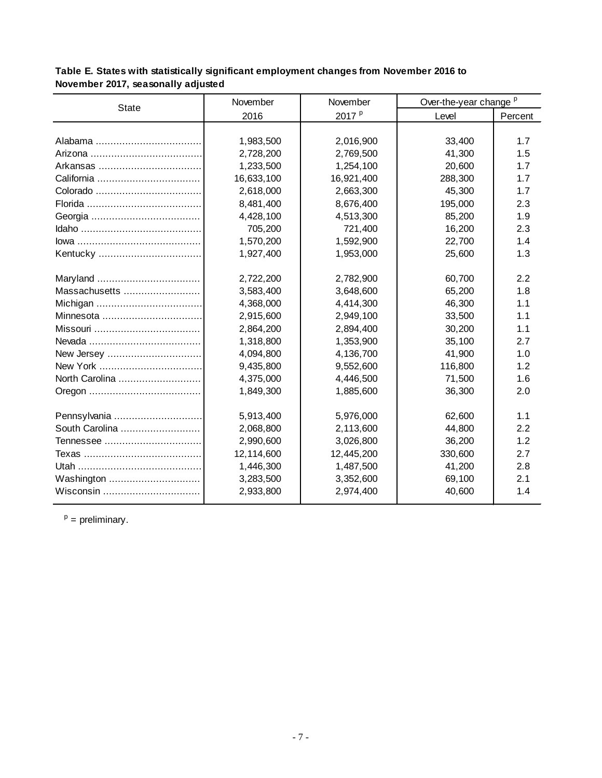| Table E. States with statistically significant employment changes from November 2016 to |
|-----------------------------------------------------------------------------------------|
| November 2017, seasonally adjusted                                                      |

| <b>State</b>   | November   | November          | Over-the-year change <sup>p</sup> |         |  |  |
|----------------|------------|-------------------|-----------------------------------|---------|--|--|
|                | 2016       | 2017 <sup>p</sup> | Level                             | Percent |  |  |
|                |            |                   |                                   |         |  |  |
|                | 1,983,500  | 2,016,900         | 33,400                            | 1.7     |  |  |
|                | 2,728,200  | 2,769,500         | 41,300                            | 1.5     |  |  |
|                | 1,233,500  | 1,254,100         | 20,600                            | 1.7     |  |  |
|                | 16,633,100 | 16,921,400        | 288,300                           | 1.7     |  |  |
|                | 2,618,000  | 2,663,300         | 45,300                            | 1.7     |  |  |
|                | 8,481,400  | 8,676,400         | 195,000                           | 2.3     |  |  |
|                | 4,428,100  | 4,513,300         | 85,200                            | 1.9     |  |  |
|                | 705,200    | 721,400           | 16,200                            | 2.3     |  |  |
|                | 1,570,200  | 1,592,900         | 22,700                            | 1.4     |  |  |
|                | 1,927,400  | 1,953,000         | 25,600                            | 1.3     |  |  |
|                |            |                   |                                   |         |  |  |
|                | 2,722,200  | 2,782,900         | 60,700                            | 2.2     |  |  |
| Massachusetts  | 3,583,400  | 3,648,600         | 65,200                            | 1.8     |  |  |
|                | 4,368,000  | 4,414,300         | 46,300                            | 1.1     |  |  |
|                | 2,915,600  | 2,949,100         | 33,500                            | 1.1     |  |  |
|                | 2,864,200  | 2,894,400         | 30,200                            | 1.1     |  |  |
|                | 1,318,800  | 1,353,900         | 35,100                            | 2.7     |  |  |
| New Jersey     | 4,094,800  | 4,136,700         | 41,900                            | 1.0     |  |  |
|                | 9,435,800  | 9,552,600         | 116,800                           | 1.2     |  |  |
| North Carolina | 4,375,000  | 4,446,500         | 71,500                            | 1.6     |  |  |
|                | 1,849,300  | 1,885,600         | 36,300                            | 2.0     |  |  |
|                |            |                   |                                   |         |  |  |
| Pennsylvania   | 5,913,400  | 5,976,000         | 62,600                            | 1.1     |  |  |
| South Carolina | 2,068,800  | 2,113,600         | 44,800                            | 2.2     |  |  |
|                | 2,990,600  | 3,026,800         | 36,200                            | 1.2     |  |  |
|                | 12,114,600 | 12,445,200        | 330,600                           | 2.7     |  |  |
|                | 1,446,300  | 1,487,500         | 41,200                            | 2.8     |  |  |
| Washington     | 3,283,500  | 3,352,600         | 69,100                            | 2.1     |  |  |
|                | 2,933,800  | 2,974,400         | 40,600                            | 1.4     |  |  |
|                |            |                   |                                   |         |  |  |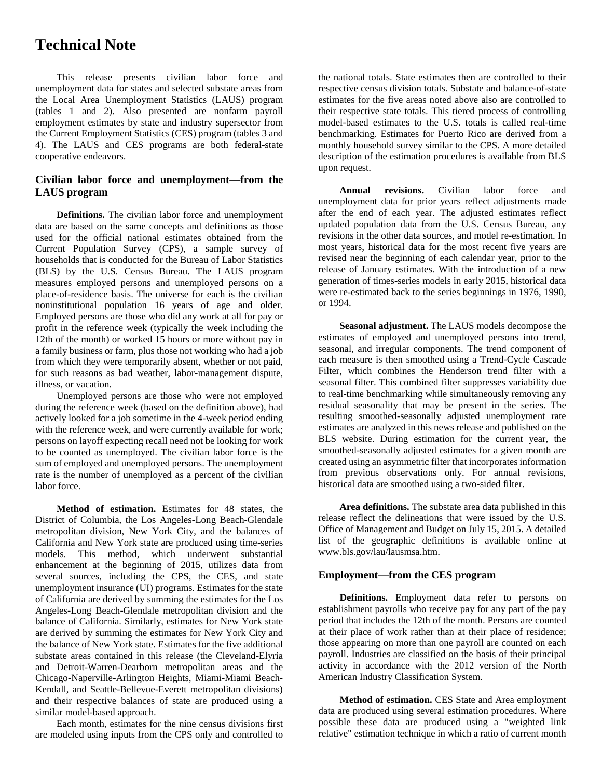# **Technical Note**

This release presents civilian labor force and unemployment data for states and selected substate areas from the Local Area Unemployment Statistics (LAUS) program (tables 1 and 2). Also presented are nonfarm payroll employment estimates by state and industry supersector from the Current Employment Statistics (CES) program (tables 3 and 4). The LAUS and CES programs are both federal-state cooperative endeavors.

#### **Civilian labor force and unemployment—from the LAUS program**

**Definitions.** The civilian labor force and unemployment data are based on the same concepts and definitions as those used for the official national estimates obtained from the Current Population Survey (CPS), a sample survey of households that is conducted for the Bureau of Labor Statistics (BLS) by the U.S. Census Bureau. The LAUS program measures employed persons and unemployed persons on a place-of-residence basis. The universe for each is the civilian noninstitutional population 16 years of age and older. Employed persons are those who did any work at all for pay or profit in the reference week (typically the week including the 12th of the month) or worked 15 hours or more without pay in a family business or farm, plus those not working who had a job from which they were temporarily absent, whether or not paid, for such reasons as bad weather, labor-management dispute, illness, or vacation.

Unemployed persons are those who were not employed during the reference week (based on the definition above), had actively looked for a job sometime in the 4-week period ending with the reference week, and were currently available for work; persons on layoff expecting recall need not be looking for work to be counted as unemployed. The civilian labor force is the sum of employed and unemployed persons. The unemployment rate is the number of unemployed as a percent of the civilian labor force.

**Method of estimation.** Estimates for 48 states, the District of Columbia, the Los Angeles-Long Beach-Glendale metropolitan division, New York City, and the balances of California and New York state are produced using time-series models. This method, which underwent substantial enhancement at the beginning of 2015, utilizes data from several sources, including the CPS, the CES, and state unemployment insurance (UI) programs. Estimates for the state of California are derived by summing the estimates for the Los Angeles-Long Beach-Glendale metropolitan division and the balance of California. Similarly, estimates for New York state are derived by summing the estimates for New York City and the balance of New York state. Estimates for the five additional substate areas contained in this release (the Cleveland-Elyria and Detroit-Warren-Dearborn metropolitan areas and the Chicago-Naperville-Arlington Heights, Miami-Miami Beach-Kendall, and Seattle-Bellevue-Everett metropolitan divisions) and their respective balances of state are produced using a similar model-based approach.

Each month, estimates for the nine census divisions first are modeled using inputs from the CPS only and controlled to

the national totals. State estimates then are controlled to their respective census division totals. Substate and balance-of-state estimates for the five areas noted above also are controlled to their respective state totals. This tiered process of controlling model-based estimates to the U.S. totals is called real-time benchmarking. Estimates for Puerto Rico are derived from a monthly household survey similar to the CPS. A more detailed description of the estimation procedures is available from BLS upon request.

**Annual revisions.** Civilian labor force and unemployment data for prior years reflect adjustments made after the end of each year. The adjusted estimates reflect updated population data from the U.S. Census Bureau, any revisions in the other data sources, and model re-estimation. In most years, historical data for the most recent five years are revised near the beginning of each calendar year, prior to the release of January estimates. With the introduction of a new generation of times-series models in early 2015, historical data were re-estimated back to the series beginnings in 1976, 1990, or 1994.

**Seasonal adjustment.** The LAUS models decompose the estimates of employed and unemployed persons into trend, seasonal, and irregular components. The trend component of each measure is then smoothed using a Trend-Cycle Cascade Filter, which combines the Henderson trend filter with a seasonal filter. This combined filter suppresses variability due to real-time benchmarking while simultaneously removing any residual seasonality that may be present in the series. The resulting smoothed-seasonally adjusted unemployment rate estimates are analyzed in this news release and published on the BLS website. During estimation for the current year, the smoothed-seasonally adjusted estimates for a given month are created using an asymmetric filter that incorporates information from previous observations only. For annual revisions, historical data are smoothed using a two-sided filter.

**Area definitions.** The substate area data published in this release reflect the delineations that were issued by the U.S. Office of Management and Budget on July 15, 2015. A detailed list of the geographic definitions is available online at www.bls.gov/lau/lausmsa.htm.

#### **Employment—from the CES program**

**Definitions.** Employment data refer to persons on establishment payrolls who receive pay for any part of the pay period that includes the 12th of the month. Persons are counted at their place of work rather than at their place of residence; those appearing on more than one payroll are counted on each payroll. Industries are classified on the basis of their principal activity in accordance with the 2012 version of the North American Industry Classification System.

**Method of estimation.** CES State and Area employment data are produced using several estimation procedures. Where possible these data are produced using a "weighted link relative" estimation technique in which a ratio of current month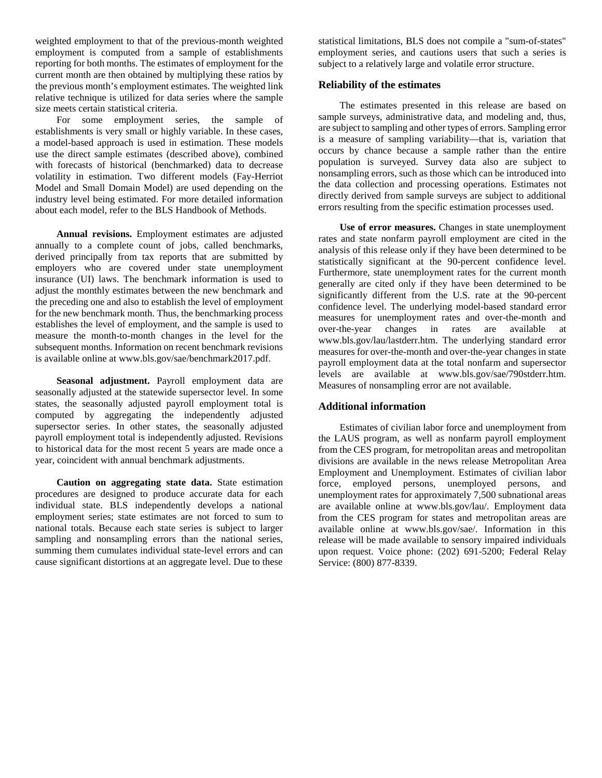weighted employment to that of the previous-month weighted employment is computed from a sample of establishments reporting for both months. The estimates of employment for the current month are then obtained by multiplying these ratios by the previous month's employment estimates. The weighted link relative technique is utilized for data series where the sample size meets certain statistical criteria.

For some employment series, the sample of establishments is very small or highly variable. In these cases, a model-based approach is used in estimation. These models use the direct sample estimates (described above), combined with forecasts of historical (benchmarked) data to decrease volatility in estimation. Two different models (Fay-Herriot Model and Small Domain Model) are used depending on the industry level being estimated. For more detailed information about each model, refer to the BLS Handbook of Methods.

**Annual revisions.** Employment estimates are adjusted annually to a complete count of jobs, called benchmarks, derived principally from tax reports that are submitted by employers who are covered under state unemployment insurance (UI) laws. The benchmark information is used to adjust the monthly estimates between the new benchmark and the preceding one and also to establish the level of employment for the new benchmark month. Thus, the benchmarking process establishes the level of employment, and the sample is used to measure the month-to-month changes in the level for the subsequent months. Information on recent benchmark revisions is available online at www.bls.gov/sae/benchmark2017.pdf.

**Seasonal adjustment.** Payroll employment data are seasonally adjusted at the statewide supersector level. In some states, the seasonally adjusted payroll employment total is computed by aggregating the independently adjusted supersector series. In other states, the seasonally adjusted payroll employment total is independently adjusted. Revisions to historical data for the most recent 5 years are made once a year, coincident with annual benchmark adjustments.

**Caution on aggregating state data.** State estimation procedures are designed to produce accurate data for each individual state. BLS independently develops a national employment series; state estimates are not forced to sum to national totals. Because each state series is subject to larger sampling and nonsampling errors than the national series, summing them cumulates individual state-level errors and can cause significant distortions at an aggregate level. Due to these

statistical limitations, BLS does not compile a "sum-of-states" employment series, and cautions users that such a series is subject to a relatively large and volatile error structure.

#### **Reliability of the estimates**

The estimates presented in this release are based on sample surveys, administrative data, and modeling and, thus, are subject to sampling and other types of errors. Sampling error is a measure of sampling variability—that is, variation that occurs by chance because a sample rather than the entire population is surveyed. Survey data also are subject to nonsampling errors, such as those which can be introduced into the data collection and processing operations. Estimates not directly derived from sample surveys are subject to additional errors resulting from the specific estimation processes used.

**Use of error measures.** Changes in state unemployment rates and state nonfarm payroll employment are cited in the analysis of this release only if they have been determined to be statistically significant at the 90-percent confidence level. Furthermore, state unemployment rates for the current month generally are cited only if they have been determined to be significantly different from the U.S. rate at the 90-percent confidence level. The underlying model-based standard error measures for unemployment rates and over-the-month and over-the-year changes in rates are available at www.bls.gov/lau/lastderr.htm. The underlying standard error measures for over-the-month and over-the-year changes in state payroll employment data at the total nonfarm and supersector levels are available at www.bls.gov/sae/790stderr.htm. Measures of nonsampling error are not available.

#### **Additional information**

Estimates of civilian labor force and unemployment from the LAUS program, as well as nonfarm payroll employment from the CES program, for metropolitan areas and metropolitan divisions are available in the news release Metropolitan Area Employment and Unemployment. Estimates of civilian labor force, employed persons, unemployed persons, and unemployment rates for approximately 7,500 subnational areas are available online at www.bls.gov/lau/. Employment data from the CES program for states and metropolitan areas are available online at www.bls.gov/sae/. Information in this release will be made available to sensory impaired individuals upon request. Voice phone: (202) 691-5200; Federal Relay Service: (800) 877-8339.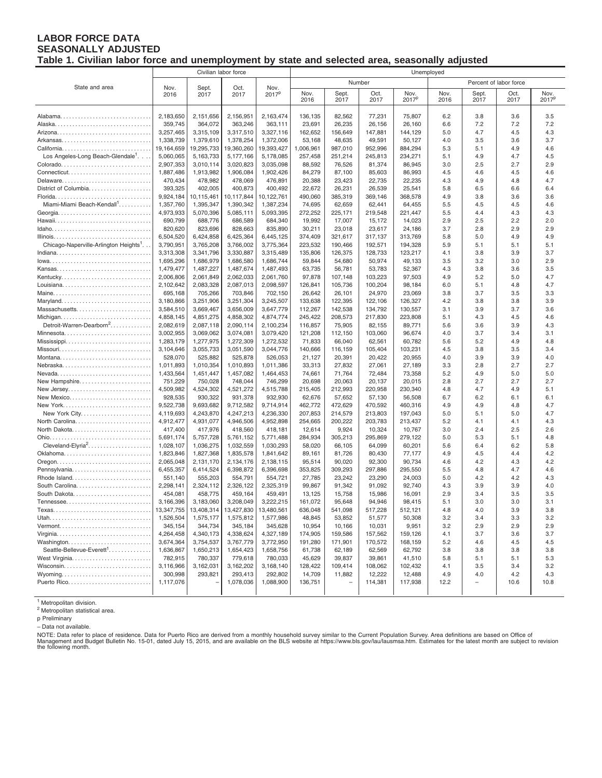#### **LABOR FORCE DATA SEASONALLY ADJUSTED Table 1. Civilian labor force and unemployment by state and selected area, seasonally adjusted**

|                                                   | Civilian labor force   |                        |                        |                        | Unemployed        |                   |                   |                   |            |                          |            |                   |
|---------------------------------------------------|------------------------|------------------------|------------------------|------------------------|-------------------|-------------------|-------------------|-------------------|------------|--------------------------|------------|-------------------|
|                                                   |                        |                        |                        |                        |                   | Number            |                   |                   |            | Percent of labor force   |            |                   |
| State and area                                    | Nov.                   | Sept.                  | Oct.                   | Nov.                   | Nov.              | Sept.             | Oct.              | Nov.              | Nov.       | Sept.                    | Oct.       | Nov.              |
|                                                   | 2016                   | 2017                   | 2017                   | 2017 <sup>p</sup>      | 2016              | 2017              | 2017              | 2017 <sup>P</sup> | 2016       | 2017                     | 2017       | 2017 <sup>p</sup> |
|                                                   |                        |                        |                        |                        |                   |                   |                   |                   |            |                          |            |                   |
|                                                   | 2,183,650              | 2,151,656              | 2,156,951              | 2,163,474              | 136,135           | 82,562            | 77,231            | 75,807            | 6.2        | 3.8                      | 3.6        | 3.5               |
|                                                   | 359.745                | 364,072                | 363,246                | 363,111                | 23,691            | 26,235            | 26,156            | 26,160            | 6.6        | 7.2                      | 7.2        | 7.2               |
|                                                   | 3,257,465              | 3,315,109              | 3,317,510              | 3,327,116              | 162,652           | 156,649           | 147,881           | 144,129           | 5.0        | 4.7                      | 4.5        | 4.3               |
|                                                   | 1,338,739              | 1,379,610              | 1,378,254              | 1,372,006              | 53,168            | 48,635            | 49,591            | 50,127            | 4.0        | 3.5                      | 3.6        | 3.7               |
|                                                   | 19,164,659             | 19,295,733             | 19,360,260             | 19,393,427             | 1,006,961         | 987,010           | 952,996           | 884,294           | 5.3        | 5.1                      | 4.9        | 4.6               |
| Los Angeles-Long Beach-Glendale <sup>1</sup> .    | 5,060,065              | 5,163,733              | 5,177,166              | 5,178,085              | 257,458           | 251,214           | 245,813           | 234,271           | 5.1        | 4.9                      | 4.7        | 4.5               |
|                                                   | 2,907,353              | 3,010,114              | 3,020,823              | 3,035,098              | 88,592            | 76,526            | 81,374            | 86,945            | 3.0        | 2.5                      | 2.7        | 2.9               |
|                                                   | 1,887,486              | 1,913,982              | 1,906,084              | 1,902,426              | 84,279            | 87,100            | 85,603            | 86,993            | 4.5        | 4.6                      | 4.5        | 4.6               |
|                                                   | 470,434                | 478,982                | 478,069                | 476,891                | 20,388            | 23,423            | 22,735            | 22,235            | 4.3        | 4.9                      | 4.8        | 4.7               |
| District of Columbia                              | 393,325                | 402,005                | 400,873                | 400,492                | 22,672            | 26,231            | 26,539            | 25,541            | 5.8        | 6.5                      | 6.6        | 6.4               |
| Miami-Miami Beach-Kendall <sup>1</sup>            | 9,924,184              | 10,115,461             | 10,117,844             | 10,122,761             | 490,060           | 385,319           | 369.146           | 368,578           | 4.9        | 3.8<br>4.5               | 3.6        | 3.6               |
|                                                   | 1,357,760<br>4,973,933 | 1,395,347<br>5,070,396 | 1,390,342<br>5,085,111 | 1,387,234<br>5,093,395 | 74,695<br>272,252 | 62,659<br>225,171 | 62,441<br>219,548 | 64,455<br>221,447 | 5.5<br>5.5 | 4.4                      | 4.5<br>4.3 | 4.6<br>4.3        |
|                                                   | 690,799                | 688,776                | 686,589                | 684,340                | 19,992            | 17,007            | 15,172            | 14,023            | 2.9        | 2.5                      | 2.2        | 2.0               |
|                                                   | 820,620                | 823,696                | 828,663                | 835,890                | 30,211            | 23,018            | 23,617            | 24,186            | 3.7        | 2.8                      | 2.9        | 2.9               |
|                                                   | 6,504,520              | 6,424,858              | 6,425,364              | 6,445,125              | 374,409           | 321,617           | 317,137           | 313,769           | 5.8        | 5.0                      | 4.9        | 4.9               |
| Chicago-Naperville-Arlington Heights <sup>1</sup> | 3,790,951              | 3,765,208              | 3,766,002              | 3,775,364              | 223,532           | 190,466           | 192,571           | 194,328           | 5.9        | 5.1                      | 5.1        | 5.1               |
|                                                   | 3,313,308              | 3,341,796              | 3,330,887              | 3,315,489              | 135,806           | 126,375           | 128,733           | 123,217           | 4.1        | 3.8                      | 3.9        | 3.7               |
|                                                   | 1,695,296              | 1,686,979              | 1,686,580              | 1,686,744              | 59,844            | 54,680            | 50,974            | 49,133            | 3.5        | 3.2                      | 3.0        | 2.9               |
|                                                   | 1,479,477              | 1,487,227              | 1,487,674              | 1,487,493              | 63,735            | 56,781            | 53,783            | 52,367            | 4.3        | 3.8                      | 3.6        | 3.5               |
|                                                   | 2,006,806              | 2,061,849              | 2,062,033              | 2,061,760              | 97,878            | 107,148           | 103,223           | 97,503            | 4.9        | 5.2                      | 5.0        | 4.7               |
|                                                   | 2,102,642              | 2,083,328              | 2,087,013              | 2,098,597              | 126,841           | 105,736           | 100,204           | 98,184            | 6.0        | 5.1                      | 4.8        | 4.7               |
|                                                   | 695,168                | 705,266                | 703,846                | 702,150                | 26,642            | 26,101            | 24,970            | 23,069            | 3.8        | 3.7                      | 3.5        | 3.3               |
| Maryland                                          | 3,180,866              | 3,251,906              | 3,251,304              | 3,245,507              | 133,638           | 122,395           | 122,106           | 126.327           | 4.2        | 3.8                      | 3.8        | 3.9               |
|                                                   | 3,584,510              | 3,669,467              | 3,656,009              | 3,647,779              | 112,267           | 142,538           | 134,792           | 130,557           | 3.1        | 3.9                      | 3.7        | 3.6               |
| Michigan                                          | 4,858,145              | 4,851,275              | 4,858,302              | 4,874,774              | 245,422           | 208,573           | 217,830           | 223,808           | 5.1        | 4.3                      | 4.5        | 4.6               |
| Detroit-Warren-Dearborn <sup>2</sup>              | 2,082,619              | 2,087,118              | 2,090,114              | 2,100,234              | 116,857           | 75,905            | 82,155            | 89,771            | 5.6        | 3.6                      | 3.9        | 4.3               |
|                                                   | 3,002,955              | 3,069,062              | 3,074,081              | 3,079,420              | 121,208           | 112,150           | 103,060           | 96,674            | 4.0        | 3.7<br>5.2               | 3.4<br>4.9 | 3.1<br>4.8        |
| Mississippi                                       | 1,283,179<br>3,104,646 | 1,277,975<br>3,055,733 | 1,272,309<br>3,051,590 | 1,272,532<br>3,044,776 | 71,833<br>140,666 | 66,040<br>116,159 | 62,561<br>105,404 | 60,782<br>103,231 | 5.6<br>4.5 | 3.8                      | 3.5        | 3.4               |
|                                                   | 528,070                | 525,882                | 525,878                | 526,053                | 21,127            | 20,391            | 20,422            | 20,955            | 4.0        | 3.9                      | 3.9        | 4.0               |
| Nebraska                                          | 1,011,893              | 1,010,354              | 1,010,893              | 1,011,386              | 33,313            | 27,832            | 27,061            | 27,189            | 3.3        | 2.8                      | 2.7        | 2.7               |
| Nevada                                            | 1,433,564              | 1,451,447              | 1,457,082              | 1,464,453              | 74,661            | 71,764            | 72,484            | 73,358            | 5.2        | 4.9                      | 5.0        | 5.0               |
| New Hampshire                                     | 751,229                | 750,028                | 748,044                | 746,299                | 20,698            | 20,063            | 20,137            | 20,015            | 2.8        | 2.7                      | 2.7        | 2.7               |
| New Jersey                                        | 4,509,982              | 4,524,302              | 4,521,272              | 4,515,788              | 215,405           | 212,993           | 220,958           | 230,340           | 4.8        | 4.7                      | 4.9        | 5.1               |
|                                                   | 928,535                | 930,322                | 931,378                | 932,930                | 62,676            | 57,652            | 57,130            | 56,508            | 6.7        | 6.2                      | 6.1        | 6.1               |
| New York                                          | 9,522,738              | 9,693,682              | 9,712,582              | 9,714,914              | 462,772           | 472,629           | 470,592           | 460,316           | 4.9        | 4.9                      | 4.8        | 4.7               |
| New York City                                     | 4,119,693              | 4,243,870              | 4,247,213              | 4,236,330              | 207,853           | 214,579           | 213,803           | 197,043           | 5.0        | 5.1                      | 5.0        | 4.7               |
| North Carolina                                    | 4,912,477              | 4,931,077              | 4,946,506              | 4,952,898              | 254,665           | 200,222           | 203,783           | 213,437           | 5.2        | 4.1                      | 4.1        | 4.3               |
|                                                   | 417,400                | 417,976                | 418,560                | 418,181                | 12,614            | 9,924             | 10,324            | 10,767            | 3.0        | 2.4                      | 2.5        | 2.6               |
|                                                   | 5,691,174              | 5,757,728              | 5,761,152              | 5,771,488              | 284,934           | 305,213           | 295,869           | 279,122           | 5.0        | 5.3                      | 5.1        | 4.8               |
| Cleveland-Elyria <sup>2</sup>                     | 1,028,107              | 1,036,275              | 1,032,559              | 1,030,293              | 58,020            | 66,105            | 64,099            | 60,201            | 5.6        | 6.4                      | 6.2        | 5.8               |
| Oklahoma                                          | 1,823,846<br>2,065,048 | 1,827,368<br>2,131,170 | 1,835,578<br>2,134,176 | 1,841,642<br>2,138,115 | 89,161<br>95,514  | 81,726<br>90,020  | 80,430<br>92,300  | 77,177<br>90,734  | 4.9<br>4.6 | 4.5<br>4.2               | 4.4<br>4.3 | 4.2<br>4.2        |
| Pennsylvania                                      | 6,455,357              | 6,414,524              | 6,398,872              | 6,396,698              | 353,825           | 309,293           | 297,886           | 295,550           | 5.5        | 4.8                      | 4.7        | 4.6               |
| Rhode Island                                      | 551,140                | 555,203                | 554,791                | 554,721                | 27,785            | 23,242            | 23,290            | 24,003            | 5.0        | 4.2                      | 4.2        | 4.3               |
|                                                   | 2,298,141              | 2,324,112              | 2,326,122              | 2,325,319              | 99,867            | 91,342            | 91,092            | 92,740            | 4.3        | 3.9                      | 3.9        | 4.0               |
|                                                   | 454,081                | 458,775                | 459,164                | 459,491                | 13,125            | 15,758            | 15,986            | 16,091            | 2.9        | 3.4                      | 3.5        | 3.5               |
| Tennessee                                         | 3,166,396              | 3,183,060              | 3,208,049              | 3,222,215              | 161,072           | 95,648            | 94,946            | 98,415            | 5.1        | 3.0                      | 3.0        | 3.1               |
|                                                   | 13,347,755             | 13,408,314             | 13,427,830             | 13,480,561             | 636,048           | 541,098           | 517,228           | 512,121           | 4.8        | 4.0                      | 3.9        | 3.8               |
|                                                   | 1,526,504              | 1,575,177              | 1,575,812              | 1,577,986              | 48,845            | 53,852            | 51,577            | 50,308            | 3.2        | 3.4                      | 3.3        | 3.2               |
|                                                   | 345,154                | 344,734                | 345,184                | 345,628                | 10,954            | 10,166            | 10,031            | 9,951             | 3.2        | 2.9                      | 2.9        | 2.9               |
|                                                   | 4,264,458              | 4,340,173              | 4,338,624              | 4,327,189              | 174,905           | 159,586           | 157,562           | 159,126           | 4.1        | 3.7                      | 3.6        | 3.7               |
| Washington                                        | 3,674,364              | 3,754,537              | 3,767,779              | 3,772,950              | 191,280           | 171,901           | 170,572           | 168,159           | 5.2        | 4.6                      | 4.5        | 4.5               |
| Seattle-Bellevue-Everett <sup>1</sup>             | 1,636,867              | 1,650,213              | 1,654,423              | 1,658,756              | 61,738            | 62,189            | 62,569            | 62,792            | 3.8        | 3.8                      | 3.8        | 3.8               |
|                                                   | 782,915                | 780,337                | 779,618                | 780,033                | 45,629            | 39,837            | 39,861            | 41,510            | 5.8        | 5.1                      | 5.1        | 5.3               |
|                                                   | 3,116,966              | 3,162,031              | 3,162,202              | 3,168,140              | 128,422           | 109,414           | 108,062           | 102,432           | 4.1        | 3.5                      | 3.4        | 3.2               |
|                                                   | 300,998                | 293,821                | 293,413                | 292,802                | 14,709            | 11,882            | 12,222            | 12,488            | 4.9        | 4.0                      | 4.2        | 4.3               |
|                                                   | 1,117,076              |                        | 1,078,036              | 1,088,900              | 136,751           |                   | 114,381           | 117,938           | 12.2       | $\overline{\phantom{0}}$ | 10.6       | 10.8              |

<sup>1</sup> Metropolitan division.

<sup>2</sup> Metropolitan statistical area.

p Preliminary

– Data not available.

NOTE: Data refer to place of residence. Data for Puerto Rico are derived from a monthly household survey similar to the Current Population Survey. Area definitions are based on Office of<br>Management and Budget Bulletin No.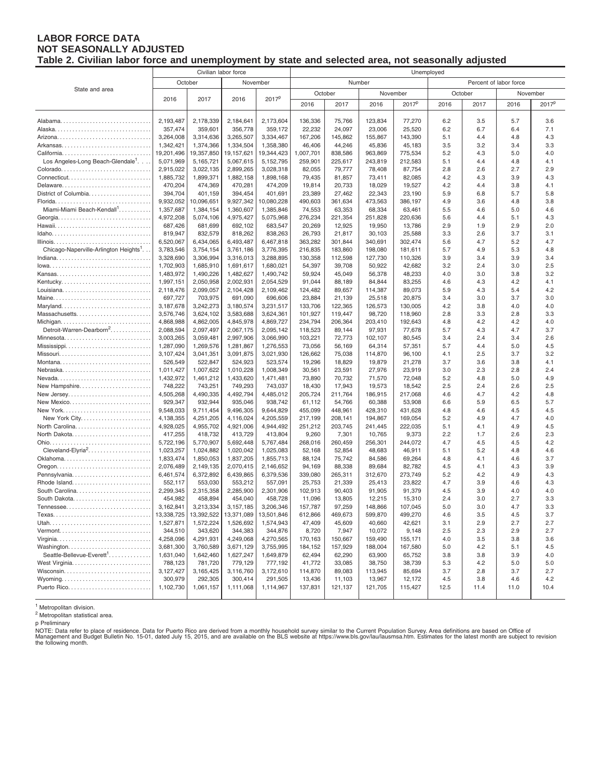#### **LABOR FORCE DATA NOT SEASONALLY ADJUSTED Table 2. Civilian labor force and unemployment by state and selected area, not seasonally adjusted**

|                                                |                        | Civilian labor force   |                        |                        | Unemployed                       |                   |                   |                   |             |             |             |                   |  |
|------------------------------------------------|------------------------|------------------------|------------------------|------------------------|----------------------------------|-------------------|-------------------|-------------------|-------------|-------------|-------------|-------------------|--|
|                                                |                        | October                | November               |                        | Number<br>Percent of labor force |                   |                   |                   |             |             |             |                   |  |
| State and area                                 |                        |                        |                        |                        | October                          |                   | November          |                   |             | October     |             | November          |  |
|                                                | 2016                   | 2017                   | 2016                   | 2017 <sup>p</sup>      | 2016                             | 2017              | 2016              | 2017 <sup>p</sup> | 2016        | 2017        | 2016        | 2017 <sup>p</sup> |  |
|                                                |                        |                        |                        |                        |                                  |                   |                   |                   |             |             |             |                   |  |
|                                                | 2,193,487              | 2,178,339              | 2,184,641              | 2,173,604              | 136,336                          | 75,766            | 123,834           | 77,270            | 6.2         | 3.5         | 5.7         | 3.6               |  |
|                                                | 357,474                | 359,601                | 356,778                | 359,172                | 22,232                           | 24,097            | 23,006            | 25,520            | 6.2         | 6.7         | 6.4         | 7.1               |  |
|                                                | 3,264,008              | 3,314,636              | 3,265,507              | 3,334,467              | 167,206                          | 145,862           | 155,867           | 143,390           | 5.1         | 4.4         | 4.8         | 4.3               |  |
|                                                | 1,342,421              | 1,374,366              | 1,334,504              | 1,358,380              | 46,406                           | 44,246            | 45,836            | 45,183            | 3.5         | 3.2         | 3.4         | 3.3               |  |
|                                                | 19,201,496             | 19,357,850             | 19,157,621             | 19,344,423             | 1,007,701                        | 838,586           | 963,869           | 775,534           | 5.2         | 4.3         | 5.0         | 4.0               |  |
| Los Angeles-Long Beach-Glendale <sup>1</sup> . | 5,071,969              | 5,165,721              | 5,067,615              | 5,152,795              | 259,901                          | 225,617           | 243,819           | 212,583           | 5.1         | 4.4         | 4.8         | 4.1               |  |
|                                                | 2,915,022              | 3,022,135              | 2,899,265              | 3,028,318              | 82,055                           | 79,777            | 78,408            | 87,754            | 2.8         | 2.6         | 2.7         | 2.9               |  |
|                                                | 1,885,732              | 1,899,371              | 1,882,158              | 1,898,168              | 79,435                           | 81,857            | 73,411            | 82,085            | 4.2         | 4.3         | 3.9         | 4.3               |  |
| Delaware                                       | 470,204                | 474,369                | 470,281                | 474,209                | 19,814                           | 20,733            | 18,029            | 19,527            | 4.2         | 4.4         | 3.8         | 4.1               |  |
| District of Columbia                           | 394,704                | 401,159                | 394,454                | 401,691                | 23,389                           | 27,462            | 22,343            | 23,190            | 5.9         | 6.8         | 5.7         | 5.8               |  |
|                                                | 9,932,052              | 10,096,651             | 9,927,342              | 10,080,228             | 490,603                          | 361,634           | 473,563           | 386,197           | 4.9         | 3.6         | 4.8         | 3.8               |  |
| Miami-Miami Beach-Kendall <sup>1</sup>         | 1,357,687<br>4,972,208 | 1,384,154<br>5,074,106 | 1,360,607<br>4,975,427 | 1,385,846<br>5,075,968 | 74,553<br>276,234                | 63,353<br>221,354 | 68,334<br>251,828 | 63,461<br>220,636 | 5.5<br>5.6  | 4.6<br>4.4  | 5.0<br>5.1  | 4.6<br>4.3        |  |
|                                                | 687,426                | 681,699                | 692,102                | 683,547                | 20,269                           | 12,925            | 19,950            | 13,786            | 2.9         | 1.9         | 2.9         | 2.0               |  |
|                                                | 819,947                | 832,579                | 818,262                | 838,263                | 26,793                           | 21,817            | 30,103            | 25,588            | 3.3         | 2.6         | 3.7         | 3.1               |  |
|                                                | 6,520,067              | 6,434,065              | 6,493,487              | 6,467,818              | 363,282                          | 301,844           | 340,691           | 302,474           | 5.6         | 4.7         | 5.2         | 4.7               |  |
| Chicago-Naperville-Arlington Heights'          | 3,783,546              | 3,754,154              | 3,761,186              | 3,776,395              | 216,835                          | 183,860           | 198,080           | 181,611           | 5.7         | 4.9         | 5.3         | 4.8               |  |
|                                                | 3,328,690              | 3,306,994              | 3,316,013              | 3,288,895              | 130,358                          | 112,598           | 127,730           | 110,326           | 3.9         | 3.4         | 3.9         | 3.4               |  |
|                                                | 1,702,903              | 1,685,910              | 1,691,617              | 1,680,021              | 54,397                           | 39,708            | 50,922            | 42,682            | 3.2         | 2.4         | 3.0         | 2.5               |  |
| Kansas                                         | 1,483,972              | 1,490,226              | 1,482,627              | 1,490,742              | 59,924                           | 45,049            | 56,378            | 48,233            | 4.0         | 3.0         | 3.8         | 3.2               |  |
|                                                | 1,997,151              | 2,050,958              | 2,002,931              | 2,054,529              | 91,044                           | 88,189            | 84,844            | 83,255            | 4.6         | 4.3         | 4.2         | 4.1               |  |
|                                                | 2,118,476              | 2,099,057              | 2,104,428              | 2,109,462              | 124,482                          | 89,657            | 114,387           | 89,073            | 5.9         | 4.3         | 5.4         | 4.2               |  |
|                                                | 697,727                | 703,975                | 691,090                | 696,606                | 23,884                           | 21,139            | 25,518            | 20,875            | 3.4         | 3.0         | 3.7         | 3.0               |  |
| Maryland                                       | 3,187,678              | 3,242,273              | 3,180,574              | 3,231,517              | 133,706                          | 122,365           | 126,573           | 130,005           | 4.2         | 3.8         | 4.0         | 4.0               |  |
| Massachusetts                                  | 3,576,746              | 3,624,102              | 3,583,688              | 3,624,361              | 101,927                          | 119,447           | 98,720            | 118,960           | 2.8         | 3.3         | 2.8         | 3.3               |  |
|                                                | 4,868,988              | 4,862,005              | 4,845,978              | 4,869,727              | 234,794                          | 206,364           | 203,410           | 192,643           | 4.8         | 4.2         | 4.2         | 4.0               |  |
| Detroit-Warren-Dearborn <sup>2</sup>           | 2,088,594              | 2,097,497              | 2,067,175              | 2,095,142              | 118,523                          | 89,144            | 97,931            | 77,678            | 5.7         | 4.3         | 4.7         | 3.7               |  |
| Minnesota                                      | 3,003,265              | 3,059,481              | 2,997,906              | 3,066,990              | 103,221                          | 72,773            | 102,107           | 80,545            | 3.4         | 2.4         | 3.4         | 2.6               |  |
| Mississippi                                    | 1,287,090<br>3,107,424 | 1,269,576<br>3,041,351 | 1,281,867<br>3,091,875 | 1,276,553<br>3,021,930 | 73,056<br>126,662                | 56,169<br>75,038  | 64,314<br>114,870 | 57,351<br>96,100  | 5.7<br>4.1  | 4.4<br>2.5  | 5.0<br>3.7  | 4.5<br>3.2        |  |
| Montana                                        | 526,549                | 522,847                | 524,923                | 523,574                | 19,296                           | 18,829            | 19,879            | 21,278            | 3.7         | 3.6         | 3.8         | 4.1               |  |
| Nebraska                                       | 1,011,427              | 1,007,622              | 1,010,228              | 1,008,349              | 30,561                           | 23,591            | 27,976            | 23,919            | 3.0         | 2.3         | 2.8         | 2.4               |  |
| Nevada                                         | 1,432,972              | 1,461,212              | 1,433,620              | 1,471,481              | 73,890                           | 70,732            | 71,570            | 72,048            | 5.2         | 4.8         | 5.0         | 4.9               |  |
| New Hampshire                                  | 748,222                | 743,251                | 749,293                | 743,037                | 18,430                           | 17,943            | 19,573            | 18,542            | 2.5         | 2.4         | 2.6         | 2.5               |  |
| New Jersey                                     | 4,505,268              | 4,490,335              | 4,492,794              | 4,485,012              | 205,724                          | 211,764           | 186,915           | 217,068           | 4.6         | 4.7         | 4.2         | 4.8               |  |
| New Mexico                                     | 929,347                | 932,944                | 935,046                | 938,742                | 61,112                           | 54,766            | 60,388            | 53,908            | 6.6         | 5.9         | 6.5         | 5.7               |  |
| New York                                       | 9,548,033              | 9,711,454              | 9,496,305              | 9,644,829              | 455,099                          | 448,961           | 428,310           | 431,628           | 4.8         | 4.6         | 4.5         | 4.5               |  |
| New York City                                  | 4,138,355              | 4,251,205              | 4,116,024              | 4,205,559              | 217,199                          | 208,141           | 194,867           | 169,054           | 5.2         | 4.9         | 4.7         | 4.0               |  |
| North Carolina                                 | 4,928,025              | 4,955,702              | 4,921,006              | 4,944,492              | 251,212                          | 203,745           | 241,445           | 222,035           | 5.1         | 4.1         | 4.9         | 4.5               |  |
|                                                | 417,255                | 418,732                | 413,729                | 413,804                | 9,260                            | 7,301             | 10,765            | 9,373             | 2.2         | 1.7         | 2.6         | 2.3               |  |
|                                                | 5,722,196              | 5,770,907              | 5,692,448              | 5,767,484              | 268,016                          | 260,459           | 256,301           | 244,072           | 4.7         | 4.5         | 4.5         | 4.2               |  |
| Cleveland-Elyria <sup>2</sup>                  | 1,023,257              | 1,024,882              | 1,020,042              | 1,025,083              | 52,168                           | 52,854            | 48,683            | 46,911            | 5.1         | 5.2         | 4.8         | 4.6               |  |
|                                                | 1,833,474<br>2,076,489 | 1,850,053<br>2,149,135 | 1,837,205<br>2,070,415 | 1,855,713              | 88,124<br>94,169                 | 75,742<br>88,338  | 84,586<br>89,684  | 69,264<br>82,782  | 4.8<br>4.5  | 4.1<br>4.1  | 4.6<br>4.3  | 3.7<br>3.9        |  |
| Pennsylvania                                   | 6,461,574              | 6,372,892              | 6,439,865              | 2,146,652<br>6,379,536 | 339,080                          | 265,311           | 312,670           | 273,749           | 5.2         | 4.2         | 4.9         | 4.3               |  |
| Rhode Island                                   | 552,117                | 553,030                | 553,212                | 557,091                | 25,753                           | 21,339            | 25,413            | 23,822            | 4.7         | 3.9         | 4.6         | 4.3               |  |
| South Carolina                                 | 2,299,345              | 2,315,358              | 2,285,900              | 2,301,906              | 102,913                          | 90,403            | 91,905            | 91,379            | 4.5         | 3.9         | 4.0         | 4.0               |  |
| South Dakota                                   | 454,982                | 458,894                | 454,040                | 458,728                | 11,096                           | 13,805            | 12,215            | 15,310            | 2.4         | 3.0         | 2.7         | 3.3               |  |
| $T$ ennessee                                   | 3,162,841              | 3,213,334              | 3,157,185              | 3,206,346              | 157,787                          | 97,259            | 148,866           | 107,045           | 5.0         | 3.0         | 4.7         | 3.3               |  |
|                                                | 13,338,725             | 13,392,522             | 13,371,089             | 13,501,846             | 612,866                          | 469,673           | 599,870           | 499,270           | 4.6         | 3.5         | 4.5         | 3.7               |  |
| Utah                                           | 1,527,871              | 1,572,224              | 1,526,692              | 1,574,943              | 47,409                           | 45,609            | 40,660            | 42,621            | 3.1         | 2.9         | 2.7         | 2.7               |  |
|                                                | 344,510                | 343,620                | 344,383                | 344,876                | 8,720                            | 7,947             | 10,072            | 9,148             | 2.5         | 2.3         | 2.9         | 2.7               |  |
|                                                | 4,258,096              | 4,291,931              | 4,249,068              | 4,270,565              | 170,163                          | 150,667           | 159,490           | 155,171           | 4.0         | 3.5         | 3.8         | 3.6               |  |
| Washington                                     | 3,681,300              | 3,760,589              | 3,671,129              | 3,755,995              | 184,152                          | 157,929           | 188,004           | 167,580           | 5.0         | 4.2         | 5.1         | 4.5               |  |
| Seattle-Bellevue-Everett <sup>1</sup>          | 1,631,040              | 1,642,460              | 1,627,247              | 1,649,879              | 62,494                           | 62,290            | 63,900            | 65,752            | 3.8         | 3.8         | 3.9         | 4.0               |  |
|                                                | 788,123                | 781,720                | 779,129                | 777,192                | 41,772                           | 33,085            | 38,750            | 38,739            | 5.3         | 4.2         | 5.0         | 5.0               |  |
|                                                | 3,127,427              | 3,165,425              | 3,116,760              | 3,172,610              | 114,870                          | 89,083            | 113,945           | 85,694            | 3.7         | 2.8         | 3.7         | 2.7               |  |
|                                                | 300,979<br>1,102,730   | 292,305<br>1,061,157   | 300,414<br>1,111,068   | 291,505<br>1,114,967   | 13,436<br>137,831                | 11,103<br>121,137 | 13,967<br>121,705 | 12,172<br>115,427 | 4.5<br>12.5 | 3.8<br>11.4 | 4.6<br>11.0 | 4.2<br>10.4       |  |
|                                                |                        |                        |                        |                        |                                  |                   |                   |                   |             |             |             |                   |  |

<sup>1</sup> Metropolitan division.

<sup>2</sup> Metropolitan statistical area.

p Preliminary<br>NOTE: Data refer to place of residence. Data for Puerto Rico are derived from a monthly household survey similar to the Current Population Survey. Area definitions are based on Office of<br>Management and Budget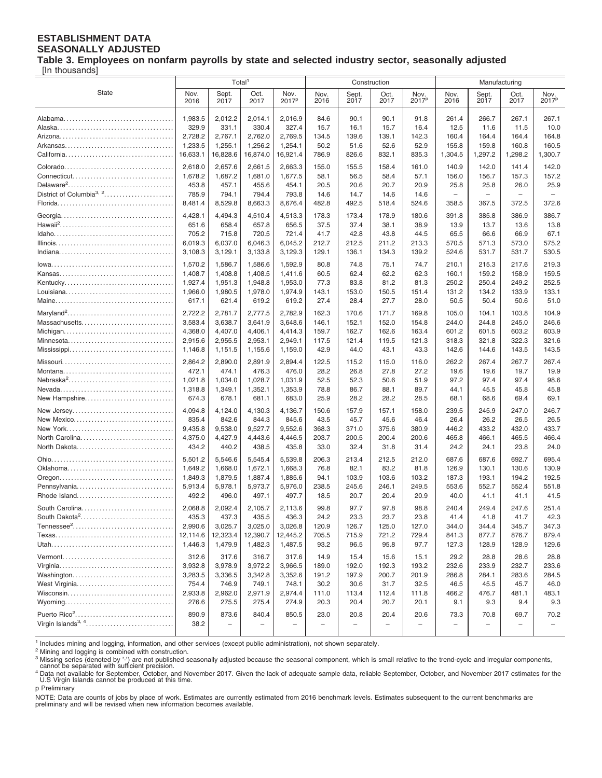#### **ESTABLISHMENT DATA SEASONALLY ADJUSTED**

**Table 3. Employees on nonfarm payrolls by state and selected industry sector, seasonally adjusted**

[In thousands]

|                                                            |                                      | Total <sup>1</sup>                |                               |                               |                                  |                                | Construction                   |                                  | Manufacturing                  |                                |                                  |                                  |
|------------------------------------------------------------|--------------------------------------|-----------------------------------|-------------------------------|-------------------------------|----------------------------------|--------------------------------|--------------------------------|----------------------------------|--------------------------------|--------------------------------|----------------------------------|----------------------------------|
| State                                                      | Nov.                                 | Sept.                             | Oct.                          | Nov.                          | Nov.                             | Sept.                          | Oct.                           | Nov.                             | Nov.                           | Sept.                          | Oct.                             | Nov.                             |
|                                                            | 2016                                 | 2017                              | 2017                          | 2017 <sup>p</sup>             | 2016                             | 2017                           | 2017                           | 2017 <sup>p</sup>                | 2016                           | 2017                           | 2017                             | 2017 <sup>p</sup>                |
|                                                            | 1,983.5                              | 2,012.2                           | 2,014.1                       | 2,016.9                       | 84.6                             | 90.1                           | 90.1                           | 91.8                             | 261.4                          | 266.7                          | 267.1                            | 267.1                            |
|                                                            | 329.9                                | 331.1                             | 330.4                         | 327.4                         | 15.7                             | 16.1                           | 15.7                           | 16.4                             | 12.5                           | 11.6                           | 11.5                             | 10.0                             |
|                                                            | 2,728.2                              | 2,767.1                           | 2,762.0                       | 2,769.5                       | 134.5                            | 139.6                          | 139.1                          | 142.3                            | 160.4                          | 164.4                          | 164.4                            | 164.8                            |
|                                                            | 1,233.5                              | 1,255.1                           | 1,256.2                       | 1,254.1                       | 50.2                             | 51.6                           | 52.6                           | 52.9                             | 155.8                          | 159.8                          | 160.8                            | 160.5                            |
|                                                            | 16,633.1                             | 16,828.6                          | 16,874.0                      | 16,921.4                      | 786.9                            | 826.6                          | 832.1                          | 835.3                            | 1,304.5                        | 1,297.2                        | 1,298.2                          | 1,300.7                          |
|                                                            | 2,618.0                              | 2,657.6                           | 2,661.5                       | 2,663.3                       | 155.0                            | 155.5                          | 158.4                          | 161.0                            | 140.9                          | 142.0                          | 141.4                            | 142.0                            |
|                                                            | 1,678.2                              | 1,687.2                           | 1,681.0                       | 1,677.5                       | 58.1                             | 56.5                           | 58.4                           | 57.1                             | 156.0                          | 156.7                          | 157.3                            | 157.2                            |
|                                                            | 453.8                                | 457.1                             | 455.6                         | 454.1                         | 20.5                             | 20.6                           | 20.7                           | 20.9                             | 25.8                           | 25.8                           | 26.0                             | 25.9                             |
| District of Columbia <sup>3, 2</sup>                       | 785.9                                | 794.1                             | 794.4                         | 793.8                         | 14.6                             | 14.7                           | 14.6                           | 14.6                             | $\overline{\phantom{a}}$       | $\overline{\phantom{a}}$       | $\overline{\phantom{0}}$         | $\overline{\phantom{a}}$         |
|                                                            | 8,481.4                              | 8,529.8                           | 8,663.3                       | 8,676.4                       | 482.8                            | 492.5                          | 518.4                          | 524.6                            | 358.5                          | 367.5                          | 372.5                            | 372.6                            |
|                                                            | 4,428.1<br>651.6<br>705.2<br>6,019.3 | 4,494.3<br>658.4<br>715.8         | 4,510.4<br>657.8<br>720.5     | 4,513.3<br>656.5<br>721.4     | 178.3<br>37.5<br>41.7            | 173.4<br>37.4<br>42.8<br>212.5 | 178.9<br>38.1<br>43.8<br>211.2 | 180.6<br>38.9<br>44.5            | 391.8<br>13.9<br>65.5<br>570.5 | 385.8<br>13.7<br>66.6<br>571.3 | 386.9<br>13.6<br>66.9            | 386.7<br>13.8<br>67.1<br>575.2   |
|                                                            | 3,108.3<br>1,570.2                   | 6,037.0<br>3,129.1<br>1,586.7     | 6,046.3<br>3,133.8<br>1,586.6 | 6,045.2<br>3,129.3<br>1,592.9 | 212.7<br>129.1<br>80.8           | 136.1<br>74.8                  | 134.3<br>75.1                  | 213.3<br>139.2<br>74.7           | 524.6<br>210.1                 | 531.7<br>215.3                 | 573.0<br>531.7<br>217.6          | 530.5<br>219.3                   |
|                                                            | 1.408.7                              | 1,408.8                           | 1,408.5                       | 1.411.6                       | 60.5                             | 62.4                           | 62.2                           | 62.3                             | 160.1                          | 159.2                          | 158.9                            | 159.5                            |
|                                                            | 1,927.4                              | 1,951.3                           | 1,948.8                       | 1.953.0                       | 77.3                             | 83.8                           | 81.2                           | 81.3                             | 250.2                          | 250.4                          | 249.2                            | 252.5                            |
|                                                            | 1,966.0                              | 1,980.5                           | 1,978.0                       | 1,974.9                       | 143.1                            | 153.0                          | 150.5                          | 151.4                            | 131.2                          | 134.2                          | 133.9                            | 133.1                            |
|                                                            | 617.1                                | 621.4                             | 619.2                         | 619.2                         | 27.4                             | 28.4                           | 27.7                           | 28.0                             | 50.5                           | 50.4                           | 50.6                             | 51.0                             |
|                                                            | 2.722.2                              | 2,781.7                           | 2,777.5                       | 2,782.9                       | 162.3                            | 170.6                          | 171.7                          | 169.8                            | 105.0                          | 104.1                          | 103.8                            | 104.9                            |
| Massachusetts                                              | 3,583.4                              | 3,638.7                           | 3,641.9                       | 3,648.6                       | 146.1                            | 152.1                          | 152.0                          | 154.8                            | 244.0                          | 244.8                          | 245.0                            | 246.6                            |
|                                                            | 4,368.0                              | 4,407.0                           | 4,406.1                       | 4.414.3                       | 159.7                            | 162.7                          | 162.6                          | 163.4                            | 601.2                          | 601.5                          | 603.2                            | 603.9                            |
|                                                            | 2,915.6                              | 2,955.5                           | 2,953.1                       | 2,949.1                       | 117.5                            | 121.4                          | 119.5                          | 121.3                            | 318.3                          | 321.8                          | 322.3                            | 321.6                            |
|                                                            | 1,146.8                              | 1,151.5                           | 1,155.6                       | 1,159.0                       | 42.9                             | 44.0                           | 43.1                           | 43.3                             | 142.6                          | 144.6                          | 143.5                            | 143.5                            |
|                                                            | 2,864.2                              | 2,890.0                           | 2,891.9                       | 2,894.4                       | 122.5                            | 115.2                          | 115.0                          | 116.0                            | 262.2                          | 267.4                          | 267.7                            | 267.4                            |
|                                                            | 472.1                                | 474.1                             | 476.3                         | 476.0                         | 28.2                             | 26.8                           | 27.8                           | 27.2                             | 19.6                           | 19.6                           | 19.7                             | 19.9                             |
| Nebraska <sup>2</sup>                                      | 1,021.8                              | 1,034.0                           | 1,028.7                       | 1,031.9                       | 52.5                             | 52.3                           | 50.6                           | 51.9                             | 97.2                           | 97.4                           | 97.4                             | 98.6                             |
|                                                            | 1,318.8                              | 1,349.1                           | 1,352.1                       | 1,353.9                       | 78.8                             | 86.7                           | 88.1                           | 89.7                             | 44.1                           | 45.5                           | 45.8                             | 45.8                             |
| New Hampshire                                              | 674.3                                | 678.1                             | 681.1                         | 683.0                         | 25.9                             | 28.2                           | 28.2                           | 28.5                             | 68.1                           | 68.6                           | 69.4                             | 69.1                             |
| New Jersey                                                 | 4,094.8                              | 4,124.0                           | 4,130.3                       | 4,136.7                       | 150.6                            | 157.9                          | 157.1                          | 158.0                            | 239.5                          | 245.9                          | 247.0                            | 246.7                            |
| New Mexico                                                 | 835.4                                | 842.6                             | 844.3                         | 845.6                         | 43.5                             | 45.7                           | 45.6                           | 46.4                             | 26.4                           | 26.2                           | 26.5                             | 26.5                             |
|                                                            | 9,435.8                              | 9,538.0                           | 9,527.7                       | 9,552.6                       | 368.3                            | 371.0                          | 375.6                          | 380.9                            | 446.2                          | 433.2                          | 432.0                            | 433.7                            |
| North Carolina                                             | 4,375.0                              | 4,427.9                           | 4,443.6                       | 4,446.5                       | 203.7                            | 200.5                          | 200.4                          | 200.6                            | 465.8                          | 466.1                          | 465.5                            | 466.4                            |
|                                                            | 434.2                                | 440.2                             | 438.5                         | 435.8                         | 33.0                             | 32.4                           | 31.8                           | 31.4                             | 24.2                           | 24.1                           | 23.8                             | 24.0                             |
|                                                            | 5,501.2                              | 5,546.6                           | 5,545.4                       | 5,539.8                       | 206.3                            | 213.4                          | 212.5                          | 212.0                            | 687.6                          | 687.6                          | 692.7                            | 695.4                            |
|                                                            | 1,649.2                              | 1,668.0                           | 1,672.1                       | 1,668.3                       | 76.8                             | 82.1                           | 83.2                           | 81.8                             | 126.9                          | 130.1                          | 130.6                            | 130.9                            |
|                                                            | 1,849.3                              | 1,879.5                           | 1,887.4                       | 1,885.6                       | 94.1                             | 103.9                          | 103.6                          | 103.2                            | 187.3                          | 193.1                          | 194.2                            | 192.5                            |
| Pennsylvania                                               | 5,913.4                              | 5,978.1                           | 5,973.7                       | 5,976.0                       | 238.5                            | 245.6                          | 246.1                          | 249.5                            | 553.6                          | 552.7                          | 552.4                            | 551.8                            |
| Rhode Island                                               | 492.2                                | 496.0                             | 497.1                         | 497.7                         | 18.5                             | 20.7                           | 20.4                           | 20.9                             | 40.0                           | 41.1                           | 41.1                             | 41.5                             |
| South Carolina                                             | 2,068.8                              | 2.092.4                           | 2,105.7                       | 2,113.6                       | 99.8                             | 97.7                           | 97.8                           | 98.8                             | 240.4                          | 249.4                          | 247.6                            | 251.4                            |
| South Dakota <sup>2</sup>                                  | 435.3                                | 437.3                             | 435.5                         | 436.3                         | 24.2                             | 23.3                           | 23.7                           | 23.8                             | 41.4                           | 41.8                           | 41.7                             | 42.3                             |
|                                                            | 2,990.6                              | 3,025.7                           | 3,025.0                       | 3,026.8                       | 120.9                            | 126.7                          | 125.0                          | 127.0                            | 344.0                          | 344.4                          | 345.7                            | 347.3                            |
|                                                            | 12,114.6                             | 12,323.4                          | 12,390.7                      | 12,445.2                      | 705.5                            | 715.9                          | 721.2                          | 729.4                            | 841.3                          | 877.7                          | 876.7                            | 879.4                            |
|                                                            | 1,446.3                              | 1,479.9                           | 1,482.3                       | 1,487.5                       | 93.2                             | 96.5                           | 95.8                           | 97.7                             | 127.3                          | 128.9                          | 128.9                            | 129.6                            |
|                                                            | 312.6                                | 317.6                             | 316.7                         | 317.6                         | 14.9                             | 15.4                           | 15.6                           | 15.1                             | 29.2                           | 28.8                           | 28.6                             | 28.8                             |
|                                                            | 3,932.8                              | 3,978.9                           | 3,972.2                       | 3,966.5                       | 189.0                            | 192.0                          | 192.3                          | 193.2                            | 232.6                          | 233.9                          | 232.7                            | 233.6                            |
|                                                            | 3,283.5                              | 3,336.5                           | 3,342.8                       | 3,352.6                       | 191.2                            | 197.9                          | 200.7                          | 201.9                            | 286.8                          | 284.1                          | 283.6                            | 284.5                            |
|                                                            | 754.4                                | 746.9                             | 749.1                         | 748.1                         | 30.2                             | 30.6                           | 31.7                           | 32.5                             | 46.5                           | 45.5                           | 45.7                             | 46.0                             |
|                                                            | 2,933.8                              | 2,962.0                           | 2,971.9                       | 2,974.4                       | 111.0                            | 113.4                          | 112.4                          | 111.8                            | 466.2                          | 476.7                          | 481.1                            | 483.1                            |
|                                                            | 276.6                                | 275.5                             | 275.4                         | 274.9                         | 20.3                             | 20.4                           | 20.7                           | 20.1                             | 9.1                            | 9.3                            | 9.4                              | 9.3                              |
| Puerto Rico <sup>2</sup><br>Virgin Islands <sup>3, 4</sup> | 890.9<br>38.2                        | 873.6<br>$\overline{\phantom{0}}$ | 840.4<br>$\qquad \qquad -$    | 850.5<br>-                    | 23.0<br>$\overline{\phantom{m}}$ | 20.8<br>L.                     | 20.4                           | 20.6<br>$\overline{\phantom{0}}$ | 73.3                           | 70.8<br>-                      | 69.7<br>$\overline{\phantom{0}}$ | 70.2<br>$\overline{\phantom{0}}$ |

<sup>1</sup> Includes mining and logging, information, and other services (except public administration), not shown separately.<br><sup>2</sup> Mining and logging is combined with construction.

<sup>3</sup> Missing series (denoted by '-') are not published seasonally adjusted because the seasonal component, which is small relative to the trend-cycle and irregular components,<br>cannot be separated with sufficient precision.

<sup>4</sup> Data not available for September, October, and November 2017. Given the lack of adequate sample data, reliable September, October, and November 2017 estimates for the U.S Virgin Islands cannot be produced at this time. p Preliminary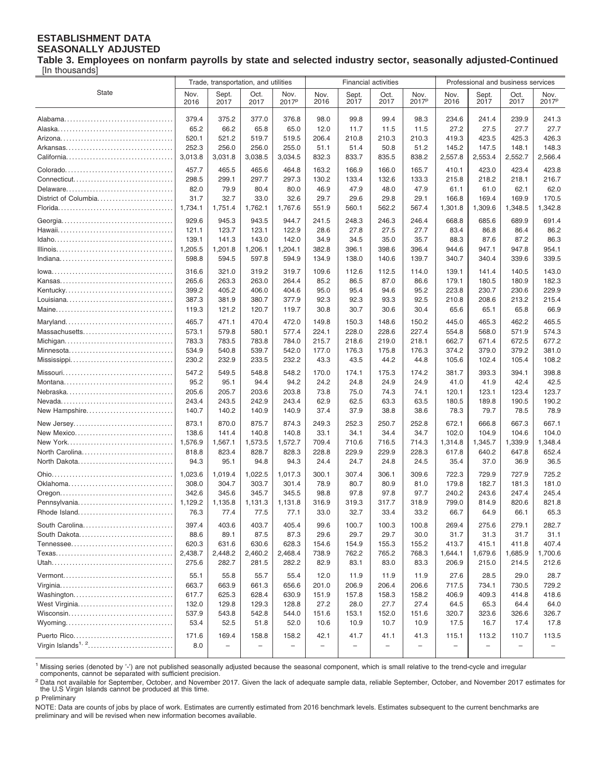#### **ESTABLISHMENT DATA SEASONALLY ADJUSTED**

**Table 3. Employees on nonfarm payrolls by state and selected industry sector, seasonally adjusted-Continued** [In thousands]

|                                | Trade, transportation, and utilities |                          | <b>Financial activities</b> |                           |                   |                          |                          |                           | Professional and business services |                   |                          |                           |
|--------------------------------|--------------------------------------|--------------------------|-----------------------------|---------------------------|-------------------|--------------------------|--------------------------|---------------------------|------------------------------------|-------------------|--------------------------|---------------------------|
| <b>State</b>                   | Nov.<br>2016                         | Sept.<br>2017            | Oct.<br>2017                | Nov.<br>2017 <sup>p</sup> | Nov.<br>2016      | Sept.<br>2017            | Oct.<br>2017             | Nov.<br>2017 <sup>p</sup> | Nov.<br>2016                       | Sept.<br>2017     | Oct.<br>2017             | Nov.<br>2017 <sup>p</sup> |
|                                | 379.4                                | 375.2                    | 377.0                       | 376.8                     | 98.0              | 99.8                     | 99.4                     | 98.3                      | 234.6                              | 241.4             | 239.9                    | 241.3                     |
|                                | 65.2                                 | 66.2                     | 65.8                        | 65.0                      | 12.0              | 11.7                     | 11.5                     | 11.5                      | 27.2                               | 27.5              | 27.7                     | 27.7                      |
|                                | 520.1                                | 521.2                    | 519.7                       | 519.5                     | 206.4             | 210.8                    | 210.3                    | 210.3                     | 419.3                              | 423.5             | 425.3                    | 426.3                     |
|                                | 252.3                                | 256.0                    | 256.0                       | 255.0                     | 51.1              | 51.4                     | 50.8                     | 51.2                      | 145.2                              | 147.5             | 148.1                    | 148.3                     |
|                                | 3,013.8                              | 3,031.8                  | 3,038.5                     | 3,034.5                   | 832.3             | 833.7                    | 835.5                    | 838.2                     | 2,557.8                            | 2,553.4           | 2,552.7                  | 2,566.4                   |
|                                | 457.7                                | 465.5                    | 465.6                       | 464.8                     | 163.2             | 166.9                    | 166.0                    | 165.7                     | 410.1                              | 423.0             | 423.4                    | 423.8                     |
|                                | 298.5                                | 299.1                    | 297.7                       | 297.3                     | 130.2             | 133.4                    | 132.6                    | 133.3                     | 215.8                              | 218.2             | 218.1                    | 216.7                     |
|                                | 82.0                                 | 79.9                     | 80.4                        | 80.0                      | 46.9              | 47.9                     | 48.0                     | 47.9                      | 61.1                               | 61.0              | 62.1                     | 62.0                      |
| District of Columbia           | 31.7                                 | 32.7                     | 33.0                        | 32.6                      | 29.7              | 29.6                     | 29.8                     | 29.1                      | 166.8                              | 169.4             | 169.9                    | 170.5                     |
|                                | 1,734.1                              | 1,751.4                  | 1,762.1                     | 1,767.6                   | 551.9             | 560.1                    | 562.2                    | 567.4                     | 1,301.8                            | 1,309.6           | 1,348.5                  | 1,342.8                   |
|                                | 929.6                                | 945.3                    | 943.5                       | 944.7                     | 241.5             | 248.3                    | 246.3                    | 246.4                     | 668.8                              | 685.6             | 689.9                    | 691.4                     |
|                                | 121.1                                | 123.7                    | 123.1                       | 122.9                     | 28.6              | 27.8                     | 27.5                     | 27.7                      | 83.4                               | 86.8              | 86.4                     | 86.2                      |
|                                | 139.1                                | 141.3                    | 143.0                       | 142.0                     | 34.9              | 34.5                     | 35.0                     | 35.7                      | 88.3                               | 87.6              | 87.2                     | 86.3                      |
|                                | 1,205.5                              | 1,201.8                  | 1,206.1                     | 1,204.1                   | 382.8             | 396.1                    | 398.6                    | 396.4                     | 944.6                              | 947.1             | 947.8                    | 954.1                     |
|                                | 598.8                                | 594.5                    | 597.8                       | 594.9                     | 134.9             | 138.0                    | 140.6                    | 139.7                     | 340.7                              | 340.4             | 339.6                    | 339.5                     |
|                                | 316.6                                | 321.0                    | 319.2                       | 319.7                     | 109.6             | 112.6                    | 112.5                    | 114.0                     | 139.1                              | 141.4             | 140.5                    | 143.0                     |
|                                | 265.6                                | 263.3                    | 263.0                       | 264.4                     | 85.2              | 86.5                     | 87.0                     | 86.6                      | 179.1                              | 180.5             | 180.9                    | 182.3                     |
|                                | 399.2<br>387.3                       | 405.2<br>381.9           | 406.0<br>380.7              | 404.6<br>377.9            | 95.0<br>92.3      | 95.4<br>92.3             | 94.6<br>93.3             | 95.2<br>92.5              | 223.8<br>210.8                     | 230.7<br>208.6    | 230.6<br>213.2           | 229.9<br>215.4            |
|                                | 119.3                                | 121.2                    | 120.7                       | 119.7                     | 30.8              | 30.7                     | 30.6                     | 30.4                      | 65.6                               | 65.1              | 65.8                     | 66.9                      |
|                                |                                      |                          |                             |                           |                   |                          |                          |                           |                                    |                   |                          |                           |
|                                | 465.7                                | 471.1                    | 470.4                       | 472.0                     | 149.8             | 150.3                    | 148.6                    | 150.2                     | 445.0                              | 465.3             | 462.2                    | 465.5                     |
| Massachusetts                  | 573.1<br>783.3                       | 579.8<br>783.5           | 580.1<br>783.8              | 577.4<br>784.0            | 224.1<br>215.7    | 228.0<br>218.6           | 228.6<br>219.0           | 227.4<br>218.1            | 554.8<br>662.7                     | 568.0<br>671.4    | 571.9<br>672.5           | 574.3<br>677.2            |
| Minnesota                      | 534.9                                | 540.8                    | 539.7                       | 542.0                     | 177.0             | 176.3                    | 175.8                    | 176.3                     | 374.2                              | 379.0             | 379.2                    | 381.0                     |
|                                | 230.2                                | 232.9                    | 233.5                       | 232.2                     | 43.3              | 43.5                     | 44.2                     | 44.8                      | 105.6                              | 102.4             | 105.4                    | 108.2                     |
|                                | 547.2                                | 549.5                    | 548.8                       | 548.2                     | 170.0             | 174.1                    | 175.3                    | 174.2                     | 381.7                              | 393.3             | 394.1                    | 398.8                     |
|                                | 95.2                                 | 95.1                     | 94.4                        | 94.2                      | 24.2              | 24.8                     | 24.9                     | 24.9                      | 41.0                               | 41.9              | 42.4                     | 42.5                      |
|                                | 205.6                                | 205.7                    | 203.6                       | 203.8                     | 73.8              | 75.0                     | 74.3                     | 74.1                      | 120.1                              | 123.1             | 123.4                    | 123.7                     |
|                                | 243.4                                | 243.5                    | 242.9                       | 243.4                     | 62.9              | 62.5                     | 63.3                     | 63.5                      | 180.5                              | 189.8             | 190.5                    | 190.2                     |
| New Hampshire                  | 140.7                                | 140.2                    | 140.9                       | 140.9                     | 37.4              | 37.9                     | 38.8                     | 38.6                      | 78.3                               | 79.7              | 78.5                     | 78.9                      |
| New Jersey                     | 873.1                                | 870.0                    | 875.7                       | 874.3                     | 249.3             | 252.3                    | 250.7                    | 252.8                     | 672.1                              | 666.8             | 667.3                    | 667.1                     |
| New Mexico                     | 138.6                                | 141.4                    | 140.8                       | 140.8                     | 33.1              | 34.1                     | 34.4                     | 34.7                      | 102.0                              | 104.9             | 104.6                    | 104.0                     |
|                                | 1,576.9                              | 1,567.1                  | 1,573.5                     | 1,572.7                   | 709.4             | 710.6                    | 716.5                    | 714.3                     | 1,314.8                            | 1,345.7           | 1,339.9                  | 1,348.4                   |
| North Carolina                 | 818.8                                | 823.4                    | 828.7                       | 828.3                     | 228.8             | 229.9                    | 229.9                    | 228.3                     | 617.8                              | 640.2             | 647.8                    | 652.4                     |
| North Dakota                   | 94.3                                 | 95.1                     | 94.8                        | 94.3                      | 24.4              | 24.7                     | 24.8                     | 24.5                      | 35.4                               | 37.0              | 36.9                     | 36.5                      |
|                                | 1,023.6                              | 1,019.4                  | 1,022.5                     | 1,017.3                   | 300.1             | 307.4                    | 306.1                    | 309.6                     | 722.3                              | 729.9             | 727.9                    | 725.2                     |
| Oklahoma                       | 308.0                                | 304.7                    | 303.7                       | 301.4                     | 78.9              | 80.7                     | 80.9                     | 81.0                      | 179.8                              | 182.7             | 181.3                    | 181.0                     |
|                                | 342.6                                | 345.6                    | 345.7                       | 345.5                     | 98.8              | 97.8                     | 97.8                     | 97.7                      | 240.2                              | 243.6<br>814.9    | 247.4                    | 245.4                     |
| Pennsylvania<br>Rhode Island   | 1,129.2<br>76.3                      | 1,135.8<br>77.4          | 1,131.3<br>77.5             | 1,131.8<br>77.1           | 316.9<br>33.0     | 319.3<br>32.7            | 317.7<br>33.4            | 318.9<br>33.2             | 799.0<br>66.7                      | 64.9              | 820.6<br>66.1            | 821.8<br>65.3             |
|                                |                                      |                          |                             |                           |                   |                          |                          |                           |                                    |                   |                          |                           |
| South Carolina                 | 397.4                                | 403.6                    | 403.7                       | 405.4                     | 99.6              | 100.7                    | 100.3                    | 100.8                     | 269.4                              | 275.6             | 279.1                    | 282.7                     |
| South Dakota                   | 88.6<br>620.3                        | 89.1<br>631.6            | 87.5<br>630.6               | 87.3<br>628.3             | 29.6<br>154.6     | 29.7<br>154.9            | 29.7<br>155.3            | 30.0<br>155.2             | 31.7<br>413.7                      | 31.3<br>415.1     | 31.7<br>411.8            | 31.1<br>407.4             |
|                                | 2,438.7                              | 2,448.2                  | 2,460.2                     | 2,468.4                   | 738.9             | 762.2                    | 765.2                    | 768.3                     | 1,644.1                            | 1,679.6           | 1,685.9                  | 1,700.6                   |
|                                | 275.6                                | 282.7                    | 281.5                       | 282.2                     | 82.9              | 83.1                     | 83.0                     | 83.3                      | 206.9                              | 215.0             | 214.5                    | 212.6                     |
|                                | 55.1                                 | 55.8                     | 55.7                        | 55.4                      | 12.0              | 11.9                     | 11.9                     | 11.9                      | 27.6                               | 28.5              | 29.0                     | 28.7                      |
|                                | 663.7                                | 663.9                    | 661.3                       | 656.6                     | 201.0             | 206.9                    | 206.4                    | 206.6                     | 717.5                              | 734.1             | 730.5                    | 729.2                     |
| Washington                     | 617.7                                | 625.3                    | 628.4                       | 630.9                     | 151.9             | 157.8                    | 158.3                    | 158.2                     | 406.9                              | 409.3             | 414.8                    | 418.6                     |
| West Virginia                  | 132.0                                | 129.8                    | 129.3                       | 128.8                     | 27.2              | 28.0                     | 27.7                     | 27.4                      | 64.5                               | 65.3              | 64.4                     | 64.0                      |
|                                | 537.9                                | 543.8                    | 542.8                       | 544.0                     | 151.6             | 153.1                    | 152.0                    | 151.6                     | 320.7                              | 323.6             | 326.6                    | 326.7                     |
|                                | 53.4                                 | 52.5                     | 51.8                        | 52.0                      | 10.6              | 10.9                     | 10.7                     | 10.9                      | 17.5                               | 16.7              | 17.4                     | 17.8                      |
| Puerto Rico                    | 171.6                                | 169.4                    | 158.8                       | 158.2                     | 42.1              | 41.7                     | 41.1                     | 41.3                      | 115.1                              | 113.2             | 110.7                    | 113.5                     |
| Virgin Islands <sup>1, 2</sup> | 8.0                                  | $\overline{\phantom{0}}$ | $\overline{\phantom{0}}$    | $\qquad \qquad -$         | $\qquad \qquad -$ | $\overline{\phantom{m}}$ | $\overline{\phantom{0}}$ | L,                        | $\overline{\phantom{0}}$           | $\qquad \qquad -$ | $\overline{\phantom{0}}$ | $\overline{\phantom{a}}$  |
|                                |                                      |                          |                             |                           |                   |                          |                          |                           |                                    |                   |                          |                           |

<sup>1</sup> Missing series (denoted by '-') are not published seasonally adjusted because the seasonal component, which is small relative to the trend-cycle and irregular

components, cannot be separated with sufficient precision.

<sup>2</sup> Data not available for September, October, and November 2017. Given the lack of adequate sample data, reliable September, October, and November 2017 estimates for the U.S Virgin Islands cannot be produced at this time. p Preliminary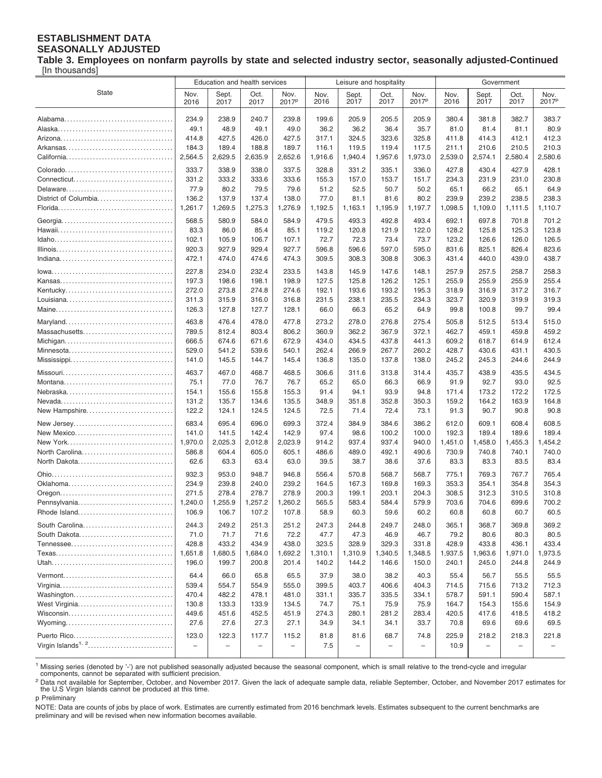#### **ESTABLISHMENT DATA SEASONALLY ADJUSTED**

**Table 3. Employees on nonfarm payrolls by state and selected industry sector, seasonally adjusted-Continued** [In thousands]

|                                | Education and health services |                |                |                           | Leisure and hospitality |                          |                          | Government                |                |                          |                |                           |
|--------------------------------|-------------------------------|----------------|----------------|---------------------------|-------------------------|--------------------------|--------------------------|---------------------------|----------------|--------------------------|----------------|---------------------------|
| <b>State</b>                   | Nov.<br>2016                  | Sept.<br>2017  | Oct.<br>2017   | Nov.<br>2017 <sup>p</sup> | Nov.<br>2016            | Sept.<br>2017            | Oct.<br>2017             | Nov.<br>2017 <sup>p</sup> | Nov.<br>2016   | Sept.<br>2017            | Oct.<br>2017   | Nov.<br>2017 <sup>p</sup> |
|                                | 234.9                         | 238.9          | 240.7          | 239.8                     | 199.6                   | 205.9                    | 205.5                    | 205.9                     | 380.4          | 381.8                    | 382.7          | 383.7                     |
|                                | 49.1                          | 48.9           | 49.1           | 49.0                      | 36.2                    | 36.2                     | 36.4                     | 35.7                      | 81.0           | 81.4                     | 81.1           | 80.9                      |
|                                | 414.8                         | 427.5          | 426.0          | 427.5                     | 317.1                   | 324.5                    | 323.6                    | 325.8                     | 411.8          | 414.3                    | 412.1          | 412.3                     |
|                                | 184.3                         | 189.4          | 188.8          | 189.7                     | 116.1                   | 119.5                    | 119.4                    | 117.5                     | 211.1          | 210.6                    | 210.5          | 210.3                     |
|                                | 2,564.5                       | 2,629.5        | 2,635.9        | 2,652.6                   | 1,916.6                 | 1,940.4                  | 1,957.6                  | 1,973.0                   | 2,539.0        | 2,574.1                  | 2,580.4        | 2,580.6                   |
|                                |                               |                |                |                           |                         |                          |                          |                           |                |                          |                |                           |
|                                | 333.7<br>331.2                | 338.9<br>333.2 | 338.0<br>333.6 | 337.5<br>333.6            | 328.8<br>155.3          | 331.2<br>157.0           | 335.1<br>153.7           | 336.0<br>151.7            | 427.8<br>234.3 | 430.4<br>231.9           | 427.9<br>231.0 | 428.1<br>230.8            |
|                                | 77.9                          | 80.2           | 79.5           | 79.6                      | 51.2                    | 52.5                     | 50.7                     | 50.2                      | 65.1           | 66.2                     | 65.1           | 64.9                      |
| District of Columbia           | 136.2                         | 137.9          | 137.4          | 138.0                     | 77.0                    | 81.1                     | 81.6                     | 80.2                      | 239.9          | 239.2                    | 238.5          | 238.3                     |
|                                | 1,261.7                       | 1,269.5        | 1,275.3        | 1,276.9                   | 1,192.5                 | 1,163.1                  | 1,195.9                  | 1,197.7                   | 1,098.5        | 1,109.0                  | 1,111.5        | 1,110.7                   |
|                                |                               |                |                |                           |                         |                          |                          |                           |                |                          |                |                           |
|                                | 568.5                         | 580.9          | 584.0          | 584.9                     | 479.5                   | 493.3                    | 492.8                    | 493.4                     | 692.1          | 697.8                    | 701.8          | 701.2                     |
|                                | 83.3                          | 86.0           | 85.4           | 85.1                      | 119.2                   | 120.8                    | 121.9                    | 122.0                     | 128.2          | 125.8                    | 125.3          | 123.8                     |
|                                | 102.1<br>920.3                | 105.9<br>927.9 | 106.7<br>929.4 | 107.1<br>927.7            | 72.7<br>596.8           | 72.3<br>596.6            | 73.4<br>597.0            | 73.7<br>595.0             | 123.2<br>831.6 | 126.6<br>825.1           | 126.0          | 126.5<br>823.6            |
|                                | 472.1                         | 474.0          | 474.6          | 474.3                     | 309.5                   | 308.3                    | 308.8                    | 306.3                     | 431.4          | 440.0                    | 826.4<br>439.0 | 438.7                     |
|                                |                               |                |                |                           |                         |                          |                          |                           |                |                          |                |                           |
|                                | 227.8                         | 234.0          | 232.4          | 233.5                     | 143.8                   | 145.9                    | 147.6                    | 148.1                     | 257.9          | 257.5                    | 258.7          | 258.3                     |
|                                | 197.3                         | 198.6          | 198.1          | 198.9                     | 127.5                   | 125.8                    | 126.2                    | 125.1                     | 255.9          | 255.9                    | 255.9          | 255.4                     |
|                                | 272.0                         | 273.8          | 274.8          | 274.6                     | 192.1                   | 193.6                    | 193.2                    | 195.3                     | 318.9          | 316.9                    | 317.2          | 316.7                     |
|                                | 311.3                         | 315.9          | 316.0          | 316.8                     | 231.5                   | 238.1                    | 235.5                    | 234.3                     | 323.7          | 320.9                    | 319.9          | 319.3                     |
|                                | 126.3                         | 127.8          | 127.7          | 128.1                     | 66.0                    | 66.3                     | 65.2                     | 64.9                      | 99.8           | 100.8                    | 99.7           | 99.4                      |
|                                | 463.8                         | 476.4          | 478.0          | 477.8                     | 273.2                   | 278.0                    | 276.8                    | 275.4                     | 505.8          | 512.5                    | 513.4          | 515.0                     |
| Massachusetts                  | 789.5                         | 812.4          | 803.4          | 806.2                     | 360.9                   | 362.2                    | 367.9                    | 372.1                     | 462.7          | 459.1                    | 459.8          | 459.2                     |
|                                | 666.5                         | 674.6          | 671.6          | 672.9                     | 434.0                   | 434.5                    | 437.8                    | 441.3                     | 609.2          | 618.7                    | 614.9          | 612.4                     |
| Minnesota                      | 529.0                         | 541.2          | 539.6          | 540.1                     | 262.4                   | 266.9                    | 267.7                    | 260.2                     | 428.7          | 430.6                    | 431.1          | 430.5                     |
|                                | 141.0                         | 145.5          | 144.7          | 145.4                     | 136.8                   | 135.0                    | 137.8                    | 138.0                     | 245.2          | 245.3                    | 244.6          | 244.9                     |
|                                | 463.7                         | 467.0          | 468.7          | 468.5                     | 306.6                   | 311.6                    | 313.8                    | 314.4                     | 435.7          | 438.9                    | 435.5          | 434.5                     |
|                                | 75.1                          | 77.0           | 76.7           | 76.7                      | 65.2                    | 65.0                     | 66.3                     | 66.9                      | 91.9           | 92.7                     | 93.0           | 92.5                      |
|                                | 154.1                         | 155.6          | 155.8          | 155.3                     | 91.4                    | 94.1                     | 93.9                     | 94.8                      | 171.4          | 173.2                    | 172.2          | 172.5                     |
|                                | 131.2                         | 135.7          | 134.6          | 135.5                     | 348.9                   | 351.8                    | 352.8                    | 350.3                     | 159.2          | 164.2                    | 163.9          | 164.8                     |
| New Hampshire                  | 122.2                         | 124.1          | 124.5          | 124.5                     | 72.5                    | 71.4                     | 72.4                     | 73.1                      | 91.3           | 90.7                     | 90.8           | 90.8                      |
| New Jersey                     | 683.4                         | 695.4          | 696.0          | 699.3                     | 372.4                   | 384.9                    | 384.6                    | 386.2                     | 612.0          | 609.1                    | 608.4          | 608.5                     |
| New Mexico                     | 141.0                         | 141.5          | 142.4          | 142.9                     | 97.4                    | 98.6                     | 100.2                    | 100.0                     | 192.3          | 189.4                    | 189.6          | 189.4                     |
|                                | 1,970.0                       | 2,025.3        | 2,012.8        | 2,023.9                   | 914.2                   | 937.4                    | 937.4                    | 940.0                     | 1,451.0        | 1,458.0                  | 1,455.3        | 1,454.2                   |
| North Carolina                 | 586.8                         | 604.4          | 605.0          | 605.1                     | 486.6                   | 489.0                    | 492.1                    | 490.6                     | 730.9          | 740.8                    | 740.1          | 740.0                     |
| North Dakota                   | 62.6                          | 63.3           | 63.4           | 63.0                      | 39.5                    | 38.7                     | 38.6                     | 37.6                      | 83.3           | 83.3                     | 83.5           | 83.4                      |
|                                | 932.3                         | 953.0          | 948.7          | 946.8                     | 556.4                   | 570.8                    | 568.7                    | 568.7                     | 775.1          | 769.3                    | 767.7          | 765.4                     |
|                                | 234.9                         | 239.8          | 240.0          | 239.2                     | 164.5                   | 167.3                    | 169.8                    | 169.3                     | 353.3          | 354.1                    | 354.8          | 354.3                     |
|                                | 271.5                         | 278.4          | 278.7          | 278.9                     | 200.3                   | 199.1                    | 203.1                    | 204.3                     | 308.5          | 312.3                    | 310.5          | 310.8                     |
| Pennsylvania                   | 1,240.0                       | 1,255.9        | 1,257.2        | 1,260.2                   | 565.5                   | 583.4                    | 584.4                    | 579.9                     | 703.6          | 704.6                    | 699.6          | 700.2                     |
| Rhode Island                   | 106.9                         | 106.7          | 107.2          | 107.8                     | 58.9                    | 60.3                     | 59.6                     | 60.2                      | 60.8           | 60.8                     | 60.7           | 60.5                      |
| South Carolina                 | 244.3                         | 249.2          | 251.3          | 251.2                     | 247.3                   | 244.8                    | 249.7                    | 248.0                     | 365.1          | 368.7                    | 369.8          | 369.2                     |
| South Dakota                   | 71.0                          | 71.7           | 71.6           | 72.2                      | 47.7                    | 47.3                     | 46.9                     | 46.7                      | 79.2           | 80.6                     | 80.3           | 80.5                      |
|                                | 428.8                         | 433.2          | 434.9          | 438.0                     | 323.5                   | 328.9                    | 329.3                    | 331.8                     | 428.9          | 433.8                    | 436.1          | 433.4                     |
|                                | 1,651.8                       | 1,680.5        | 1,684.0        | 1,692.2                   | 1,310.1                 | 1,310.9                  | 1,340.5                  | 1,348.5                   | 1,937.5        | 1,963.6                  | 1,971.0        | 1,973.5                   |
|                                | 196.0                         | 199.7          | 200.8          | 201.4                     | 140.2                   | 144.2                    | 146.6                    | 150.0                     | 240.1          | 245.0                    | 244.8          | 244.9                     |
| Vermont                        | 64.4                          | 66.0           | 65.8           | 65.5                      | 37.9                    | 38.0                     | 38.2                     | 40.3                      | 55.4           | 56.7                     | 55.5           | 55.5                      |
|                                | 539.4                         | 554.7          | 554.9          | 555.0                     | 399.5                   | 403.7                    | 406.6                    | 404.3                     | 714.5          | 715.6                    | 713.2          | 712.3                     |
| Washington                     | 470.4                         | 482.2          | 478.1          | 481.0                     | 331.1                   | 335.7                    | 335.5                    | 334.1                     | 578.7          | 591.1                    | 590.4          | 587.1                     |
| West Virginia                  | 130.8                         | 133.3          | 133.9          | 134.5                     | 74.7                    | 75.1                     | 75.9                     | 75.9                      | 164.7          | 154.3                    | 155.6          | 154.9                     |
|                                | 449.6                         | 451.6          | 452.5          | 451.9                     | 274.3                   | 280.1                    | 281.2                    | 283.4                     | 420.5          | 417.6                    | 418.5          | 418.2                     |
| Wyoming                        | 27.6                          | 27.6           | 27.3           | 27.1                      | 34.9                    | 34.1                     | 34.1                     | 33.7                      | 70.8           | 69.6                     | 69.6           | 69.5                      |
|                                | 123.0                         | 122.3          | 117.7          | 115.2                     | 81.8                    | 81.6                     | 68.7                     | 74.8                      | 225.9          | 218.2                    | 218.3          | 221.8                     |
| Virgin Islands <sup>1, 2</sup> | $\overline{\phantom{a}}$      |                | -              | $\qquad \qquad -$         | 7.5                     | $\overline{\phantom{0}}$ | $\overline{\phantom{0}}$ |                           | 10.9           | $\overline{\phantom{0}}$ | ۳              |                           |
|                                |                               |                |                |                           |                         |                          |                          |                           |                |                          |                |                           |

<sup>1</sup> Missing series (denoted by '-') are not published seasonally adjusted because the seasonal component, which is small relative to the trend-cycle and irregular components, cannot be separated with sufficient precision.

<sup>2</sup> Data not available for September, October, and November 2017. Given the lack of adequate sample data, reliable September, October, and November 2017 estimates for the U.S Virgin Islands cannot be produced at this time.

p Preliminary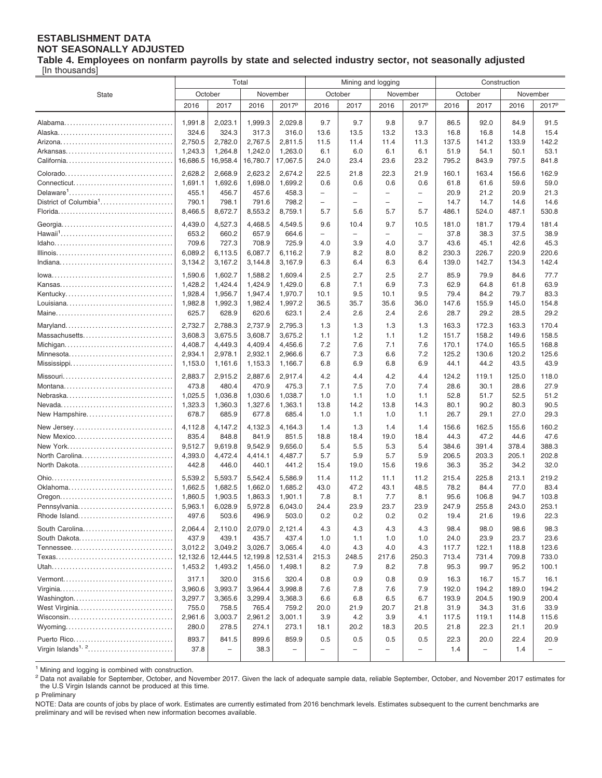## **ESTABLISHMENT DATA NOT SEASONALLY ADJUSTED**

**Table 4. Employees on nonfarm payrolls by state and selected industry sector, not seasonally adjusted**

[In thousands]

|                                   | Total               |                          |                    |                    | Mining and logging       |                          |                          | Construction             |               |                          |                |                          |
|-----------------------------------|---------------------|--------------------------|--------------------|--------------------|--------------------------|--------------------------|--------------------------|--------------------------|---------------|--------------------------|----------------|--------------------------|
| State                             | October<br>November |                          |                    |                    | October                  |                          |                          | November                 | October       |                          |                | November                 |
|                                   | 2016                | 2017                     | 2016               | 2017 <sup>p</sup>  | 2016                     | 2017                     | 2016                     | 2017 <sup>p</sup>        | 2016          | 2017                     | 2016           | 2017 <sup>p</sup>        |
|                                   |                     |                          |                    |                    |                          |                          |                          |                          |               |                          |                |                          |
|                                   | 1,991.8             | 2,023.1                  | 1,999.3            | 2,029.8            | 9.7                      | 9.7                      | 9.8                      | 9.7                      | 86.5          | 92.0                     | 84.9           | 91.5                     |
|                                   | 324.6               | 324.3                    | 317.3              | 316.0              | 13.6                     | 13.5                     | 13.2                     | 13.3                     | 16.8          | 16.8                     | 14.8           | 15.4                     |
|                                   | 2,750.5             | 2,782.0                  | 2,767.5            | 2,811.5            | 11.5                     | 11.4                     | 11.4                     | 11.3                     | 137.5         | 141.2                    | 133.9          | 142.2                    |
|                                   | 1,243.3             | 1,264.8                  | 1,242.0            | 1,263.0            | 6.1                      | 6.0                      | 6.1                      | 6.1                      | 51.9          | 54.1                     | 50.1           | 53.1                     |
|                                   | 16,686.5            | 16,958.4                 | 16,780.7           | 17,067.5           | 24.0                     | 23.4                     | 23.6                     | 23.2                     | 795.2         | 843.9                    | 797.5          | 841.8                    |
| Colorado                          | 2,628.2             | 2,668.9                  | 2,623.2            | 2,674.2            | 22.5                     | 21.8                     | 22.3                     | 21.9                     | 160.1         | 163.4                    | 156.6          | 162.9                    |
|                                   | 1,691.1             | 1,692.6                  | 1,698.0            | 1,699.2            | 0.6                      | 0.6                      | 0.6                      | 0.6                      | 61.8          | 61.6                     | 59.6           | 59.0                     |
|                                   | 455.1               | 456.7                    | 457.6              | 458.3              | $\overline{\phantom{0}}$ | $\overline{\phantom{0}}$ | $\overline{\phantom{0}}$ | $\overline{\phantom{0}}$ | 20.9          | 21.2                     | 20.9           | 21.3                     |
| District of Columbia <sup>1</sup> | 790.1               | 798.1                    | 791.6              | 798.2              | $\overline{\phantom{0}}$ | $\overline{\phantom{0}}$ | -                        | $\overline{\phantom{0}}$ | 14.7          | 14.7                     | 14.6           | 14.6                     |
|                                   | 8,466.5             | 8,672.7                  | 8,553.2            | 8,759.1            | 5.7                      | 5.6                      | 5.7                      | 5.7                      | 486.1         | 524.0                    | 487.1          | 530.8                    |
|                                   | 4,439.0             | 4,527.3                  | 4,468.5            | 4,549.5            | 9.6                      | 10.4                     | 9.7                      | 10.5                     | 181.0         | 181.7                    | 179.4          | 181.4                    |
|                                   | 653.2               | 660.2                    | 657.9              | 664.6              | $\overline{\phantom{0}}$ | $\overline{\phantom{0}}$ | -                        | $\overline{\phantom{0}}$ | 37.8          | 38.3                     | 37.5           | 38.9                     |
|                                   | 709.6               | 727.3                    | 708.9              | 725.9              | 4.0                      | 3.9                      | 4.0                      | 3.7                      | 43.6          | 45.1                     | 42.6           | 45.3                     |
|                                   | 6,089.2             | 6,113.5                  | 6,087.7            | 6,116.2            | 7.9                      | 8.2                      | 8.0                      | 8.2                      | 230.3         | 226.7                    | 220.9          | 220.6                    |
|                                   | 3,134.2             | 3,167.2                  | 3,144.8            | 3,167.9            | 6.3                      | 6.4                      | 6.3                      | 6.4                      | 139.0         | 142.7                    | 134.3          | 142.4                    |
|                                   | 1.590.6             | 1,602.7                  | 1.588.2            | 1.609.4            | 2.5                      | 2.7                      | 2.5                      | 2.7                      | 85.9          | 79.9                     | 84.6           | 77.7                     |
|                                   | 1,428.2             | 1.424.4                  | 1,424.9            | 1,429.0            | 6.8                      | 7.1                      | 6.9                      | 7.3                      | 62.9          | 64.8                     | 61.8           | 63.9                     |
| Kentucky                          | 1,928.4             | 1,956.7                  | 1,947.4            | 1,970.7            | 10.1                     | 9.5                      | 10.1                     | 9.5                      | 79.4          | 84.2                     | 79.7           | 83.3                     |
|                                   | 1,982.8             | 1,992.3                  | 1,982.4            | 1,997.2            | 36.5                     | 35.7                     | 35.6                     | 36.0                     | 147.6         | 155.9                    | 145.0          | 154.8                    |
|                                   | 625.7               | 628.9                    | 620.6              | 623.1              | 2.4                      | 2.6                      | 2.4                      | 2.6                      | 28.7          | 29.2                     | 28.5           | 29.2                     |
|                                   | 2,732.7             | 2,788.3                  | 2,737.9            | 2,795.3            | 1.3                      | 1.3                      | 1.3                      | 1.3                      | 163.3         | 172.3                    | 163.3          | 170.4                    |
| Massachusetts                     | 3,608.3             | 3,675.5                  | 3,608.7            | 3,675.2            | 1.1                      | 1.2                      | 1.1                      | 1.2                      | 151.7         | 158.2                    | 149.6          | 158.5                    |
|                                   | 4,408.7             | 4,449.3                  | 4,409.4            | 4,456.6            | 7.2                      | 7.6                      | 7.1                      | 7.6                      | 170.1         | 174.0                    | 165.5          | 168.8                    |
| Minnesota                         | 2,934.1             | 2,978.1                  | 2,932.1            | 2,966.6            | 6.7                      | 7.3                      | 6.6                      | 7.2                      | 125.2         | 130.6                    | 120.2          | 125.6                    |
|                                   | 1,153.0             | 1,161.6                  | 1,153.3            | 1,166.7            | 6.8                      | 6.9                      | 6.8                      | 6.9                      | 44.1          | 44.2                     | 43.5           | 43.9                     |
|                                   | 2,883.7             | 2,915.2                  | 2,887.6            | 2,917.4            | 4.2                      | 4.4                      | 4.2                      | 4.4                      | 124.2         | 119.1                    | 125.0          | 118.0                    |
|                                   | 473.8               | 480.4                    | 470.9              | 475.3              | 7.1                      | 7.5                      | 7.0                      | 7.4                      | 28.6          | 30.1                     | 28.6           | 27.9                     |
|                                   | 1,025.5             | 1,036.8                  | 1,030.6            | 1,038.7            | 1.0                      | 1.1                      | 1.0                      | 1.1                      | 52.8          | 51.7                     | 52.5           | 51.2                     |
|                                   | 1,323.3             | 1,360.3                  | 1,327.6            | 1,363.1            | 13.8                     | 14.2                     | 13.8                     | 14.3                     | 80.1          | 90.2                     | 80.3           | 90.5                     |
| New Hampshire                     | 678.7               | 685.9                    | 677.8              | 685.4              | 1.0                      | 1.1                      | 1.0                      | 1.1                      | 26.7          | 29.1                     | 27.0           | 29.3                     |
|                                   | 4,112.8             | 4,147.2                  | 4,132.3            | 4,164.3            | 1.4                      | 1.3                      | 1.4                      | 1.4                      | 156.6         | 162.5                    | 155.6          | 160.2                    |
| New Jersey<br>New Mexico          | 835.4               | 848.8                    | 841.9              | 851.5              | 18.8                     | 18.4                     | 19.0                     | 18.4                     | 44.3          | 47.2                     | 44.6           | 47.6                     |
| New York                          | 9,512.7             | 9,619.8                  | 9,542.9            | 9,656.0            | 5.4                      | 5.5                      | 5.3                      | 5.4                      | 384.6         | 391.4                    | 378.4          | 388.3                    |
| North Carolina                    | 4,393.0             | 4,472.4                  | 4,414.1            | 4,487.7            | 5.7                      | 5.9                      | 5.7                      | 5.9                      | 206.5         | 203.3                    | 205.1          | 202.8                    |
| North Dakota                      | 442.8               | 446.0                    | 440.1              | 441.2              | 15.4                     | 19.0                     | 15.6                     | 19.6                     | 36.3          | 35.2                     | 34.2           | 32.0                     |
|                                   |                     |                          |                    |                    |                          |                          |                          |                          |               |                          |                |                          |
| Oklahoma                          | 5,539.2<br>1,662.5  | 5,593.7<br>1,682.5       | 5,542.4<br>1,662.0 | 5,586.9<br>1,685.2 | 11.4<br>43.0             | 11.2<br>47.2             | 11.1<br>43.1             | 11.2<br>48.5             | 215.4<br>78.2 | 225.8<br>84.4            | 213.1<br>77.0  | 219.2<br>83.4            |
|                                   | 1,860.5             | 1,903.5                  | 1,863.3            | 1,901.1            | 7.8                      | 8.1                      | 7.7                      | 8.1                      | 95.6          | 106.8                    | 94.7           | 103.8                    |
| Pennsylvania                      | 5,963.1             | 6,028.9                  | 5,972.8            | 6.043.0            | 24.4                     | 23.9                     | 23.7                     | 23.9                     | 247.9         | 255.8                    | 243.0          | 253.1                    |
| Rhode Island                      | 497.6               | 503.6                    | 496.9              | 503.0              | 0.2                      | 0.2                      | 0.2                      | 0.2                      | 19.4          | 21.6                     | 19.6           | 22.3                     |
|                                   |                     |                          |                    |                    |                          |                          |                          |                          |               |                          |                |                          |
| South Carolina                    | 2,064.4             | 2,110.0                  | 2,079.0            | 2,121.4            | 4.3                      | 4.3                      | 4.3                      | 4.3                      | 98.4          | 98.0                     | 98.6           | 98.3                     |
| South Dakota                      | 437.9<br>3,012.2    | 439.1<br>3,049.2         | 435.7<br>3,026.7   | 437.4<br>3,065.4   | 1.0<br>4.0               | 1.1                      | 1.0                      | 1.0<br>4.3               | 24.0<br>117.7 | 23.9<br>122.1            | 23.7           | 23.6<br>123.6            |
|                                   | 12,132.6            | 12,444.5                 | 12,199.8           | 12,531.4           | 215.3                    | 4.3<br>248.5             | 4.0<br>217.6             | 250.3                    | 713.4         | 731.4                    | 118.8<br>709.8 | 733.0                    |
|                                   | 1,453.2             | 1,493.2                  | 1,456.0            | 1,498.1            | 8.2                      | 7.9                      | 8.2                      | 7.8                      | 95.3          | 99.7                     | 95.2           | 100.1                    |
|                                   |                     |                          |                    |                    |                          |                          |                          |                          |               |                          |                |                          |
|                                   | 317.1               | 320.0                    | 315.6              | 320.4              | 0.8                      | 0.9                      | 0.8                      | 0.9                      | 16.3          | 16.7                     | 15.7           | 16.1                     |
|                                   | 3,960.6             | 3,993.7                  | 3,964.4            | 3,998.8            | 7.6                      | 7.8                      | 7.6                      | 7.9                      | 192.0         | 194.2                    | 189.0          | 194.2                    |
| Washington                        | 3,297.7             | 3,365.6                  | 3,299.4            | 3,368.3            | 6.6                      | 6.8                      | 6.5                      | 6.7                      | 193.9         | 204.5                    | 190.9          | 200.4                    |
| West Virginia                     | 755.0               | 758.5                    | 765.4              | 759.2              | 20.0                     | 21.9                     | 20.7                     | 21.8                     | 31.9          | 34.3                     | 31.6           | 33.9                     |
| Wisconsin                         | 2,961.6             | 3,003.7                  | 2,961.2            | 3,001.1            | 3.9                      | 4.2                      | 3.9                      | 4.1                      | 117.5         | 119.1                    | 114.8          | 115.6                    |
| Wyoming                           | 280.0               | 278.5                    | 274.1              | 273.1              | 18.1                     | 20.2                     | 18.3                     | 20.5                     | 21.8          | 22.3                     | 21.1           | 20.9                     |
| Puerto Rico                       | 893.7               | 841.5                    | 899.6              | 859.9              | 0.5                      | 0.5                      | 0.5                      | 0.5                      | 22.3          | 20.0                     | 22.4           | 20.9                     |
|                                   | 37.8                | $\overline{\phantom{a}}$ | 38.3               |                    |                          |                          |                          | $\overline{ }$           | 1.4           | $\overline{\phantom{m}}$ | 1.4            | $\overline{\phantom{0}}$ |
|                                   |                     |                          |                    |                    |                          |                          |                          |                          |               |                          |                |                          |

<sup>1</sup> Mining and logging is combined with construction.

<sup>2</sup> Data not available for September, October, and November 2017. Given the lack of adequate sample data, reliable September, October, and November 2017 estimates for<br>the U.S Virgin Islands cannot be produced at this time.

p Preliminary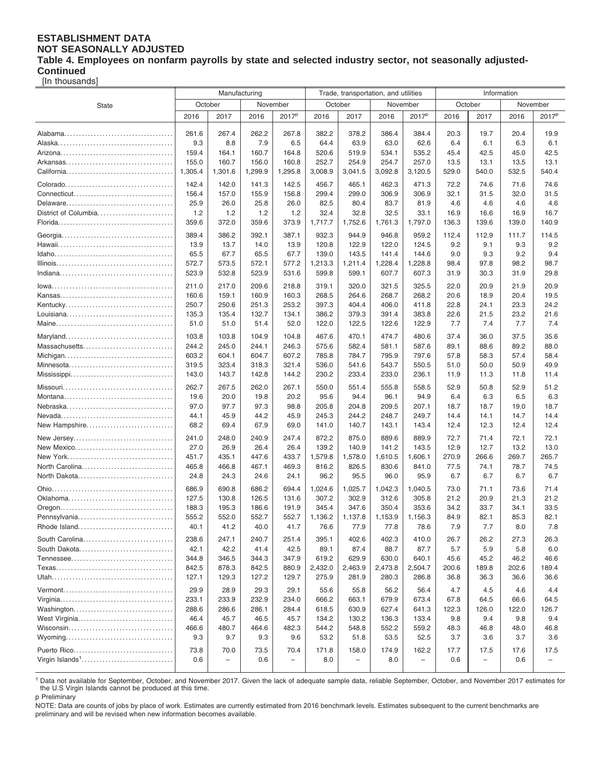#### **ESTABLISHMENT DATA NOT SEASONALLY ADJUSTED Table 4. Employees on nonfarm payrolls by state and selected industry sector, not seasonally adjusted-Continued**

[In thousands]

|                             | Manufacturing  |                          |                |                          |                | Trade, transportation, and utilities |                |                          | Information         |              |              |                          |  |
|-----------------------------|----------------|--------------------------|----------------|--------------------------|----------------|--------------------------------------|----------------|--------------------------|---------------------|--------------|--------------|--------------------------|--|
| State                       | October        |                          | November       |                          |                | October                              |                | November                 | October<br>November |              |              |                          |  |
|                             | 2016           | 2017                     | 2016           | 2017 <sup>p</sup>        | 2016           | 2017                                 | 2016           | 2017 <sup>p</sup>        | 2016                | 2017         | 2016         | 2017 <sup>p</sup>        |  |
|                             |                |                          |                |                          |                |                                      |                |                          |                     |              |              |                          |  |
|                             | 261.6          | 267.4                    | 262.2          | 267.8                    | 382.2          | 378.2                                | 386.4          | 384.4                    | 20.3                | 19.7         | 20.4         | 19.9                     |  |
|                             | 9.3            | 8.8                      | 7.9            | 6.5                      | 64.4           | 63.9                                 | 63.0           | 62.6                     | 6.4                 | 6.1          | 6.3          | 6.1                      |  |
|                             | 159.4          | 164.1                    | 160.7          | 164.8                    | 520.6          | 519.9                                | 534.1          | 535.2                    | 45.4                | 42.5         | 45.0         | 42.5                     |  |
|                             | 155.0          | 160.7                    | 156.0          | 160.8                    | 252.7          | 254.9                                | 254.7          | 257.0                    | 13.5                | 13.1         | 13.5         | 13.1                     |  |
|                             | 1,305.4        | 1,301.6                  | 1,299.9        | 1,295.8                  | 3,008.9        | 3,041.5                              | 3,092.8        | 3,120.5                  | 529.0               | 540.0        | 532.5        | 540.4                    |  |
|                             | 142.4          | 142.0                    | 141.3          | 142.5                    | 456.7          | 465.1                                | 462.3          | 471.3                    | 72.2                | 74.6         | 71.6         | 74.6                     |  |
|                             | 156.4          | 157.0                    | 155.9          | 156.8                    | 299.4          | 299.0                                | 306.9          | 306.9                    | 32.1                | 31.5         | 32.0         | 31.5                     |  |
|                             | 25.9           | 26.0                     | 25.8           | 26.0                     | 82.5           | 80.4                                 | 83.7           | 81.9                     | 4.6                 | 4.6          | 4.6          | 4.6                      |  |
| District of Columbia        | 1.2            | 1.2                      | 1.2            | 1.2                      | 32.4           | 32.8                                 | 32.5           | 33.1                     | 16.9                | 16.6         | 16.9         | 16.7                     |  |
|                             | 359.6          | 372.0                    | 359.6          | 373.9                    | 1,717.7        | 1,752.6                              | 1,761.3        | 1,797.0                  | 136.3               | 139.6        | 139.0        | 140.9                    |  |
|                             | 389.4          | 386.2                    | 392.1          | 387.1                    | 932.3          | 944.9                                | 946.8          | 959.2                    | 112.4               | 112.9        | 111.7        | 114.5                    |  |
|                             | 13.9           | 13.7                     | 14.0           | 13.9                     | 120.8          | 122.9                                | 122.0          | 124.5                    | 9.2                 | 9.1          | 9.3          | 9.2                      |  |
|                             | 65.5           | 67.7                     | 65.5           | 67.7                     | 139.0          | 143.5                                | 141.4          | 144.6                    | 9.0                 | 9.3          | 9.2          | 9.4                      |  |
|                             | 572.7          | 573.5                    | 572.1          | 577.2                    | 1,213.3        | 1,211.4                              | 1,228.4        | 1,228.8                  | 98.4                | 97.8         | 98.2         | 98.7                     |  |
|                             | 523.9          | 532.8                    | 523.9          | 531.6                    | 599.8          | 599.1                                | 607.7          | 607.3                    | 31.9                | 30.3         | 31.9         | 29.8                     |  |
|                             | 211.0          | 217.0                    | 209.6          | 218.8                    | 319.1          | 320.0                                | 321.5          | 325.5                    | 22.0                | 20.9         | 21.9         | 20.9                     |  |
|                             | 160.6          | 159.1                    | 160.9          | 160.3                    | 268.5          | 264.6                                | 268.7          | 268.2                    | 20.6                | 18.9         | 20.4         | 19.5                     |  |
|                             | 250.7          | 250.6                    | 251.3          | 253.2                    | 397.3          | 404.4                                | 406.0          | 411.8                    | 22.8                | 24.1         | 23.3         | 24.2                     |  |
|                             | 135.3          | 135.4                    | 132.7          | 134.1                    | 386.2          | 379.3                                | 391.4          | 383.8                    | 22.6                | 21.5         | 23.2         | 21.6                     |  |
|                             | 51.0           | 51.0                     | 51.4           | 52.0                     | 122.0          | 122.5                                | 122.6          | 122.9                    | 7.7                 | 7.4          | 7.7          | 7.4                      |  |
|                             |                |                          |                |                          |                |                                      |                |                          |                     |              |              |                          |  |
| Massachusetts               | 103.8<br>244.2 | 103.8<br>245.0           | 104.9<br>244.1 | 104.8<br>246.3           | 467.6<br>575.6 | 470.1<br>582.4                       | 474.7<br>581.1 | 480.6<br>587.6           | 37.4<br>89.1        | 36.0<br>88.6 | 37.5<br>89.2 | 35.6<br>88.0             |  |
|                             | 603.2          | 604.1                    | 604.7          | 607.2                    | 785.8          | 784.7                                | 795.9          | 797.6                    | 57.8                | 58.3         | 57.4         | 58.4                     |  |
| Minnesota                   | 319.5          | 323.4                    | 318.3          | 321.4                    | 536.0          | 541.6                                | 543.7          | 550.5                    | 51.0                | 50.0         | 50.9         | 49.9                     |  |
|                             | 143.0          | 143.7                    | 142.8          | 144.2                    | 230.2          | 233.4                                | 233.0          | 236.1                    | 11.9                | 11.3         | 11.8         | 11.4                     |  |
|                             |                |                          |                |                          |                |                                      |                |                          |                     |              |              |                          |  |
|                             | 262.7          | 267.5                    | 262.0          | 267.1                    | 550.0          | 551.4                                | 555.8          | 558.5                    | 52.9                | 50.8         | 52.9         | 51.2                     |  |
|                             | 19.6           | 20.0                     | 19.8           | 20.2                     | 95.6           | 94.4                                 | 96.1           | 94.9                     | 6.4                 | 6.3          | 6.5          | 6.3                      |  |
|                             | 97.0           | 97.7<br>45.9             | 97.3           | 98.8<br>45.9             | 205.8<br>245.3 | 204.8<br>244.2                       | 209.5<br>248.7 | 207.1<br>249.7           | 18.7                | 18.7         | 19.0         | 18.7<br>14.4             |  |
| New Hampshire               | 44.1<br>68.2   | 69.4                     | 44.2<br>67.9   | 69.0                     | 141.0          | 140.7                                | 143.1          | 143.4                    | 14.4<br>12.4        | 14.1<br>12.3 | 14.7<br>12.4 | 12.4                     |  |
|                             |                |                          |                |                          |                |                                      |                |                          |                     |              |              |                          |  |
| New Jersey                  | 241.0          | 248.0                    | 240.9          | 247.4                    | 872.2          | 875.0                                | 889.6          | 889.9                    | 72.7                | 71.4         | 72.1         | 72.1                     |  |
| New Mexico                  | 27.0           | 26.9                     | 26.4           | 26.4                     | 139.2          | 140.9                                | 141.2          | 143.5                    | 12.9                | 12.7         | 13.2         | 13.0                     |  |
|                             | 451.7          | 435.1                    | 447.6          | 433.7                    | 1,579.8        | 1,578.0                              | 1,610.5        | 1,606.1                  | 270.9               | 266.6        | 269.7        | 265.7                    |  |
| North Carolina              | 465.8          | 466.8                    | 467.1          | 469.3                    | 816.2          | 826.5                                | 830.6          | 841.0                    | 77.5                | 74.1         | 78.7         | 74.5                     |  |
| North Dakota                | 24.8           | 24.3                     | 24.6           | 24.1                     | 96.2           | 95.5                                 | 96.0           | 95.9                     | 6.7                 | 6.7          | 6.7          | 6.7                      |  |
|                             | 686.9          | 690.8                    | 686.2          | 694.4                    | 1.024.6        | 1,025.7                              | 1,042.3        | 1,040.5                  | 73.0                | 71.1         | 73.6         | 71.4                     |  |
|                             | 127.5          | 130.8                    | 126.5          | 131.6                    | 307.2          | 302.9                                | 312.6          | 305.8                    | 21.2                | 20.9         | 21.3         | 21.2                     |  |
|                             | 188.3          | 195.3                    | 186.6          | 191.9                    | 345.4          | 347.6                                | 350.4          | 353.6                    | 34.2                | 33.7         | 34.1         | 33.5                     |  |
| Pennsylvania                | 555.2          | 552.0                    | 552.7          | 552.7                    | 1,136.2        | 1,137.8                              | 1,153.9        | 1,156.3                  | 84.9                | 82.1         | 85.3         | 82.1                     |  |
| Rhode Island                | 40.1           | 41.2                     | 40.0           | 41.7                     | 76.6           | 77.9                                 | 77.8           | 78.6                     | 7.9                 | 7.7          | 8.0          | 7.8                      |  |
| South Carolina              | 238.6          | 247.1                    | 240.7          | 251.4                    | 395.1          | 402.6                                | 402.3          | 410.0                    | 26.7                | 26.2         | 27.3         | 26.3                     |  |
| South Dakota                | 42.1           | 42.2                     | 41.4           | 42.5                     | 89.1           | 87.4                                 | 88.7           | 87.7                     | 5.7                 | 5.9          | 5.8          | 6.0                      |  |
|                             | 344.8          | 346.5                    | 344.3          | 347.9                    | 619.2          | 629.9                                | 630.0          | 640.1                    | 45.6                | 45.2         | 46.2         | 46.6                     |  |
|                             | 842.5          | 878.3                    | 842.5          | 880.9                    | 2,432.0        | 2,463.9                              | 2,473.8        | 2,504.7                  | 200.6               | 189.8        | 202.6        | 189.4                    |  |
|                             | 127.1          | 129.3                    | 127.2          | 129.7                    | 275.9          | 281.9                                | 280.3          | 286.8                    | 36.8                | 36.3         | 36.6         | 36.6                     |  |
|                             | 29.9           | 28.9                     | 29.3           | 29.1                     | 55.6           | 55.8                                 | 56.2           | 56.4                     | 4.7                 | 4.5          | 4.6          | 4.4                      |  |
|                             | 233.1          | 233.9                    | 232.9          | 234.0                    | 666.2          | 663.1                                | 679.9          | 673.4                    | 67.8                | 64.5         | 66.6         | 64.5                     |  |
| Washington                  | 288.6          | 286.6                    | 286.1          | 284.4                    | 618.5          | 630.9                                | 627.4          | 641.3                    | 122.3               | 126.0        | 122.0        | 126.7                    |  |
| West Virginia               | 46.4           | 45.7                     | 46.5           | 45.7                     | 134.2          | 130.2                                | 136.3          | 133.4                    | 9.8                 | 9.4          | 9.8          | 9.4                      |  |
|                             | 466.6          | 480.7                    | 464.6          | 482.3                    | 544.2          | 548.8                                | 552.2          | 559.2                    | 48.3                | 46.8         | 48.0         | 46.8                     |  |
|                             | 9.3            | 9.7                      | 9.3            | 9.6                      | 53.2           | 51.8                                 | 53.5           | 52.5                     | 3.7                 | 3.6          | 3.7          | 3.6                      |  |
|                             | 73.8           | 70.0                     | 73.5           | 70.4                     | 171.8          | 158.0                                | 174.9          | 162.2                    | 17.7                | 17.5         | 17.6         | 17.5                     |  |
| Virgin Islands <sup>1</sup> | 0.6            | $\overline{\phantom{0}}$ | 0.6            | $\overline{\phantom{0}}$ | 8.0            | $\qquad \qquad -$                    | 8.0            | $\overline{\phantom{0}}$ | 0.6                 | -            | 0.6          | $\overline{\phantom{m}}$ |  |
|                             |                |                          |                |                          |                |                                      |                |                          |                     |              |              |                          |  |

<sup>1</sup> Data not available for September, October, and November 2017. Given the lack of adequate sample data, reliable September, October, and November 2017 estimates for the U.S Virgin Islands cannot be produced at this time. p Preliminary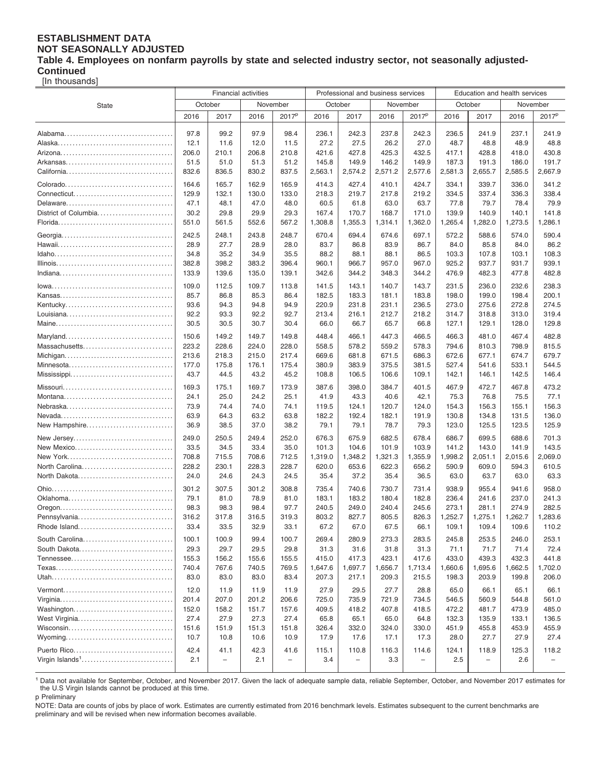#### **ESTABLISHMENT DATA NOT SEASONALLY ADJUSTED Table 4. Employees on nonfarm payrolls by state and selected industry sector, not seasonally adjusted-Continued**

[In thousands]

|                             | <b>Financial activities</b> |                          |                |                   |                  | Professional and business services |                  |                          | Education and health services |                          |                  |                          |  |
|-----------------------------|-----------------------------|--------------------------|----------------|-------------------|------------------|------------------------------------|------------------|--------------------------|-------------------------------|--------------------------|------------------|--------------------------|--|
| <b>State</b>                | October                     |                          | November       |                   | October          |                                    | November         |                          | October                       |                          | November         |                          |  |
|                             | 2016                        | 2017                     | 2016           | 2017 <sup>p</sup> | 2016             | 2017                               | 2016             | 2017 <sup>p</sup>        | 2016                          | 2017                     | 2016             | 2017 <sup>p</sup>        |  |
|                             |                             |                          |                |                   |                  |                                    |                  |                          |                               |                          |                  |                          |  |
|                             | 97.8                        | 99.2                     | 97.9           | 98.4              | 236.1            | 242.3                              | 237.8            | 242.3                    | 236.5                         | 241.9                    | 237.1            | 241.9                    |  |
|                             | 12.1                        | 11.6                     | 12.0           | 11.5              | 27.2             | 27.5                               | 26.2             | 27.0                     | 48.7                          | 48.8                     | 48.9             | 48.8                     |  |
|                             | 206.0                       | 210.1                    | 206.8          | 210.8             | 421.6            | 427.8                              | 425.3            | 432.5                    | 417.1                         | 428.8                    | 418.0            | 430.8                    |  |
|                             | 51.5                        | 51.0                     | 51.3           | 51.2              | 145.8            | 149.9                              | 146.2            | 149.9                    | 187.3                         | 191.3                    | 186.0            | 191.7                    |  |
|                             | 832.6                       | 836.5                    | 830.2          | 837.5             | 2,563.1          | 2,574.2                            | 2,571.2          | 2,577.6                  | 2,581.3                       | 2,655.7                  | 2,585.5          | 2,667.9                  |  |
|                             | 164.6                       | 165.7                    | 162.9          | 165.9             | 414.3            | 427.4                              | 410.1            | 424.7                    | 334.1                         | 339.7                    | 336.0            | 341.2                    |  |
|                             | 129.9                       | 132.1                    | 130.0          | 133.0             | 218.3            | 219.7                              | 217.8            | 219.2                    | 334.5                         | 337.4                    | 336.3            | 338.4                    |  |
|                             | 47.1                        | 48.1                     | 47.0           | 48.0              | 60.5             | 61.8                               | 63.0             | 63.7                     | 77.8                          | 79.7                     | 78.4             | 79.9                     |  |
| District of Columbia        | 30.2                        | 29.8                     | 29.9           | 29.3              | 167.4            | 170.7                              | 168.7            | 171.0                    | 139.9                         | 140.9                    | 140.1            | 141.8                    |  |
|                             | 551.0                       | 561.5                    | 552.6          | 567.2             | 1,308.8          | 1,355.3                            | 1,314.1          | 1,362.0                  | 1,265.4                       | 1,282.0                  | 1,273.5          | 1,286.1                  |  |
|                             | 242.5                       | 248.1                    | 243.8          | 248.7             | 670.4            | 694.4                              | 674.6            | 697.1                    | 572.2                         | 588.6                    | 574.0            | 590.4                    |  |
|                             | 28.9                        | 27.7                     | 28.9           | 28.0              | 83.7             | 86.8                               | 83.9             | 86.7                     | 84.0                          | 85.8                     | 84.0             | 86.2                     |  |
|                             | 34.8                        | 35.2                     | 34.9           | 35.5              | 88.2             | 88.1                               | 88.1             | 86.5                     | 103.3                         | 107.8                    | 103.1            | 108.3                    |  |
|                             | 382.8                       | 398.2                    | 383.2          | 396.4             | 960.1            | 966.7                              | 957.0            | 967.0                    | 925.2                         | 937.7                    | 931.7            | 939.1                    |  |
|                             | 133.9                       | 139.6                    | 135.0          | 139.1             | 342.6            | 344.2                              | 348.3            | 344.2                    | 476.9                         | 482.3                    | 477.8            | 482.8                    |  |
|                             | 109.0                       | 112.5                    | 109.7          | 113.8             | 141.5            | 143.1                              | 140.7            | 143.7                    | 231.5                         | 236.0                    | 232.6            | 238.3                    |  |
|                             | 85.7                        | 86.8                     | 85.3           | 86.4              | 182.5            | 183.3                              | 181.1            | 183.8                    | 198.0                         | 199.0                    | 198.4            | 200.1                    |  |
| Kentucky                    | 93.6                        | 94.3                     | 94.8           | 94.9              | 220.9            | 231.8                              | 231.1            | 236.5                    | 273.0                         | 275.6                    | 272.8            | 274.5                    |  |
|                             | 92.2                        | 93.3                     | 92.2           | 92.7              | 213.4            | 216.1                              | 212.7            | 218.2                    | 314.7                         | 318.8                    | 313.0            | 319.4                    |  |
|                             | 30.5                        | 30.5                     | 30.7           | 30.4              | 66.0             | 66.7                               | 65.7             | 66.8                     | 127.1                         | 129.1                    | 128.0            | 129.8                    |  |
|                             | 150.6                       | 149.2                    | 149.7          | 149.8             | 448.4            | 466.1                              | 447.3            | 466.5                    | 466.3                         | 481.0                    | 467.4            | 482.8                    |  |
| Massachusetts               | 223.2                       | 228.6                    | 224.0          | 228.0             | 558.5            | 578.2                              | 559.2            | 578.3                    | 794.6                         | 810.3                    | 798.9            | 815.5                    |  |
|                             | 213.6                       | 218.3                    | 215.0          | 217.4             | 669.6            | 681.8                              | 671.5            | 686.3                    | 672.6                         | 677.1                    | 674.7            | 679.7                    |  |
| Minnesota                   | 177.0                       | 175.8                    | 176.1          | 175.4             | 380.9            | 383.9                              | 375.5            | 381.5                    | 527.4                         | 541.6                    | 533.1            | 544.5                    |  |
|                             | 43.7                        | 44.5                     | 43.2           | 45.2              | 108.8            | 106.5                              | 106.6            | 109.1                    | 142.1                         | 146.1                    | 142.5            | 146.4                    |  |
|                             | 169.3                       | 175.1                    | 169.7          | 173.9             | 387.6            | 398.0                              |                  | 401.5                    | 467.9                         |                          | 467.8            |                          |  |
|                             | 24.1                        | 25.0                     | 24.2           | 25.1              | 41.9             | 43.3                               | 384.7<br>40.6    | 42.1                     | 75.3                          | 472.7<br>76.8            | 75.5             | 473.2<br>77.1            |  |
|                             | 73.9                        | 74.4                     | 74.0           | 74.1              | 119.5            | 124.1                              | 120.7            | 124.0                    | 154.3                         | 156.3                    | 155.1            | 156.3                    |  |
|                             | 63.9                        | 64.3                     | 63.2           | 63.8              | 182.2            | 192.4                              | 182.1            | 191.9                    | 130.8                         | 134.8                    | 131.5            | 136.0                    |  |
| New Hampshire               | 36.9                        | 38.5                     | 37.0           | 38.2              | 79.1             | 79.1                               | 78.7             | 79.3                     | 123.0                         | 125.5                    | 123.5            | 125.9                    |  |
|                             |                             |                          |                |                   |                  |                                    |                  |                          |                               |                          |                  |                          |  |
| New Jersey                  | 249.0                       | 250.5                    | 249.4          | 252.0             | 676.3            | 675.9                              | 682.5            | 678.4                    | 686.7                         | 699.5                    | 688.6            | 701.3                    |  |
| New Mexico                  | 33.5                        | 34.5                     | 33.4           | 35.0              | 101.3            | 104.6                              | 101.9            | 103.9                    | 141.2<br>1,998.2              | 143.0                    | 141.9            | 143.5<br>2,069.0         |  |
| North Carolina              | 708.8<br>228.2              | 715.5<br>230.1           | 708.6<br>228.3 | 712.5<br>228.7    | 1,319.0<br>620.0 | 1,348.2<br>653.6                   | 1,321.3<br>622.3 | 1,355.9<br>656.2         | 590.9                         | 2,051.1<br>609.0         | 2,015.6<br>594.3 | 610.5                    |  |
| North Dakota                | 24.0                        | 24.6                     | 24.3           | 24.5              | 35.4             | 37.2                               | 35.4             | 36.5                     | 63.0                          | 63.7                     | 63.0             | 63.3                     |  |
|                             |                             |                          |                |                   |                  |                                    |                  |                          |                               |                          |                  |                          |  |
|                             | 301.2                       | 307.5                    | 301.2          | 308.8             | 735.4            | 740.6                              | 730.7            | 731.4                    | 938.9                         | 955.4                    | 941.6            | 958.0                    |  |
|                             | 79.1                        | 81.0                     | 78.9           | 81.0              | 183.1            | 183.2                              | 180.4            | 182.8                    | 236.4                         | 241.6                    | 237.0            | 241.3                    |  |
| Pennsylvania                | 98.3<br>316.2               | 98.3<br>317.8            | 98.4<br>316.5  | 97.7<br>319.3     | 240.5<br>803.2   | 249.0<br>827.7                     | 240.4<br>805.5   | 245.6<br>826.3           | 273.1<br>1,252.7              | 281.1<br>1,275.1         | 274.9<br>1,262.7 | 282.5<br>1,283.6         |  |
| Rhode Island                | 33.4                        | 33.5                     | 32.9           | 33.1              | 67.2             | 67.0                               | 67.5             | 66.1                     | 109.1                         | 109.4                    | 109.6            | 110.2                    |  |
|                             |                             |                          |                |                   |                  |                                    |                  |                          |                               |                          |                  |                          |  |
| South Carolina              | 100.1                       | 100.9                    | 99.4           | 100.7             | 269.4            | 280.9                              | 273.3            | 283.5                    | 245.8                         | 253.5                    | 246.0            | 253.1                    |  |
| South Dakota                | 29.3                        | 29.7                     | 29.5           | 29.8              | 31.3             | 31.6                               | 31.8             | 31.3                     | 71.1                          | 71.7                     | 71.4             | 72.4                     |  |
|                             | 155.3<br>740.4              | 156.2<br>767.6           | 155.6<br>740.5 | 155.5<br>769.5    | 415.0<br>1,647.6 | 417.3                              | 423.1<br>1,656.7 | 417.6<br>1,713.4         | 433.0<br>1,660.6              | 439.3<br>1,695.6         | 432.3<br>1,662.5 | 441.8<br>1,702.0         |  |
|                             | 83.0                        | 83.0                     | 83.0           | 83.4              | 207.3            | 1,697.7<br>217.1                   | 209.3            | 215.5                    | 198.3                         | 203.9                    | 199.8            | 206.0                    |  |
|                             |                             |                          |                |                   |                  |                                    |                  |                          |                               |                          |                  |                          |  |
|                             | 12.0                        | 11.9                     | 11.9           | 11.9              | 27.9             | 29.5                               | 27.7             | 28.8                     | 65.0                          | 66.1                     | 65.1             | 66.1                     |  |
|                             | 201.4                       | 207.0                    | 201.2          | 206.6             | 725.0            | 735.9                              | 721.9            | 734.5                    | 546.5                         | 560.9                    | 544.8            | 561.0                    |  |
|                             | 152.0                       | 158.2                    | 151.7          | 157.6             | 409.5            | 418.2                              | 407.8            | 418.5                    | 472.2                         | 481.7                    | 473.9            | 485.0                    |  |
| West Virginia               | 27.4                        | 27.9                     | 27.3           | 27.4              | 65.8             | 65.1                               | 65.0             | 64.8                     | 132.3                         | 135.9                    | 133.1            | 136.5                    |  |
|                             | 151.6<br>10.7               | 151.9<br>10.8            | 151.3<br>10.6  | 151.8<br>10.9     | 326.4<br>17.9    | 332.0<br>17.6                      | 324.0<br>17.1    | 330.0<br>17.3            | 451.9<br>28.0                 | 455.8<br>27.7            | 453.9<br>27.9    | 455.9<br>27.4            |  |
|                             |                             |                          |                |                   |                  |                                    |                  |                          |                               |                          |                  |                          |  |
| Puerto Rico                 | 42.4                        | 41.1                     | 42.3           | 41.6              | 115.1            | 110.8                              | 116.3            | 114.6                    | 124.1                         | 118.9                    | 125.3            | 118.2                    |  |
| Virgin Islands <sup>1</sup> | 2.1                         | $\overline{\phantom{0}}$ | 2.1            | $\qquad \qquad -$ | 3.4              | $\overline{\phantom{0}}$           | 3.3              | $\overline{\phantom{0}}$ | 2.5                           | $\overline{\phantom{a}}$ | 2.6              | $\overline{\phantom{a}}$ |  |
|                             |                             |                          |                |                   |                  |                                    |                  |                          |                               |                          |                  |                          |  |

<sup>1</sup> Data not available for September, October, and November 2017. Given the lack of adequate sample data, reliable September, October, and November 2017 estimates for the U.S Virgin Islands cannot be produced at this time. p Preliminary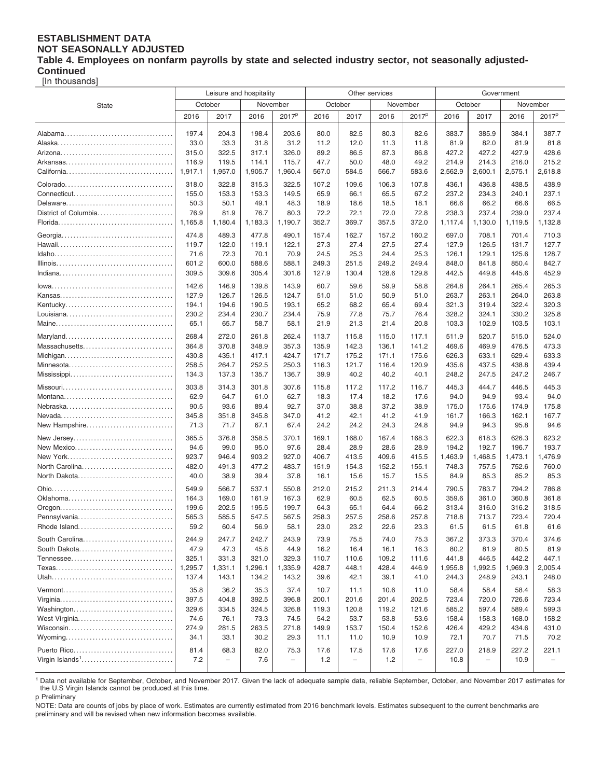#### **ESTABLISHMENT DATA NOT SEASONALLY ADJUSTED Table 4. Employees on nonfarm payrolls by state and selected industry sector, not seasonally adjusted-Continued**

[In thousands]

|                      | Leisure and hospitality |                          |                |                          |                |                          | Other services |                          | Government     |                   |                |                          |  |
|----------------------|-------------------------|--------------------------|----------------|--------------------------|----------------|--------------------------|----------------|--------------------------|----------------|-------------------|----------------|--------------------------|--|
| <b>State</b>         |                         | October                  | November       |                          |                | October                  |                | November                 |                | October           | November       |                          |  |
|                      | 2016                    | 2017                     | 2016           | 2017 <sup>p</sup>        | 2016           | 2017                     | 2016           | 2017 <sup>p</sup>        | 2016           | 2017              | 2016           | 2017 <sup>p</sup>        |  |
|                      |                         |                          |                |                          |                |                          |                |                          |                |                   |                |                          |  |
|                      | 197.4                   | 204.3                    | 198.4          | 203.6                    | 80.0           | 82.5                     | 80.3           | 82.6                     | 383.7          | 385.9             | 384.1          | 387.7                    |  |
|                      | 33.0                    | 33.3                     | 31.8           | 31.2                     | 11.2           | 12.0                     | 11.3           | 11.8                     | 81.9           | 82.0              | 81.9           | 81.8                     |  |
|                      | 315.0                   | 322.5                    | 317.1          | 326.0                    | 89.2           | 86.5                     | 87.3           | 86.8                     | 427.2          | 427.2             | 427.9          | 428.6                    |  |
|                      | 116.9                   | 119.5                    | 114.1          | 115.7                    | 47.7           | 50.0                     | 48.0           | 49.2                     | 214.9          | 214.3             | 216.0          | 215.2                    |  |
|                      | 1,917.1                 | 1,957.0                  | 1,905.7        | 1,960.4                  | 567.0          | 584.5                    | 566.7          | 583.6                    | 2,562.9        | 2,600.1           | 2,575.1        | 2,618.8                  |  |
|                      | 318.0                   | 322.8                    | 315.3          | 322.5                    | 107.2          | 109.6                    | 106.3          | 107.8                    | 436.1          | 436.8             | 438.5          | 438.9                    |  |
|                      | 155.0                   | 153.3                    | 153.3          | 149.5                    | 65.9           | 66.1                     | 65.5           | 67.2                     | 237.2          | 234.3             | 240.1          | 237.1                    |  |
|                      | 50.3                    | 50.1                     | 49.1           | 48.3                     | 18.9           | 18.6                     | 18.5           | 18.1                     | 66.6           | 66.2              | 66.6           | 66.5                     |  |
| District of Columbia | 76.9                    | 81.9                     | 76.7           | 80.3                     | 72.2           | 72.1                     | 72.0           | 72.8                     | 238.3          | 237.4             | 239.0          | 237.4                    |  |
|                      | 1,165.8                 | 1,180.4                  | 1,183.3        | 1,190.7                  | 352.7          | 369.7                    | 357.5          | 372.0                    | 1,117.4        | 1,130.0           | 1,119.5        | 1,132.8                  |  |
|                      | 474.8                   | 489.3                    | 477.8          | 490.1                    | 157.4          | 162.7                    | 157.2          | 160.2                    | 697.0          | 708.1             | 701.4          | 710.3                    |  |
|                      | 119.7                   | 122.0                    | 119.1          | 122.1                    | 27.3           | 27.4                     | 27.5           | 27.4                     | 127.9          | 126.5             | 131.7          | 127.7                    |  |
|                      | 71.6                    | 72.3                     | 70.1           | 70.9                     | 24.5           | 25.3                     | 24.4           | 25.3                     | 126.1          | 129.1             | 125.6          | 128.7                    |  |
|                      | 601.2                   | 600.0                    | 588.6          | 588.1                    | 249.3          | 251.5                    | 249.2          | 249.4                    | 848.0          | 841.8             | 850.4          | 842.7                    |  |
|                      | 309.5                   | 309.6                    | 305.4          | 301.6                    | 127.9          | 130.4                    | 128.6          | 129.8                    | 442.5          | 449.8             | 445.6          | 452.9                    |  |
|                      | 142.6                   | 146.9                    | 139.8          | 143.9                    | 60.7           | 59.6                     | 59.9           | 58.8                     | 264.8          | 264.1             | 265.4          | 265.3                    |  |
|                      | 127.9                   | 126.7                    | 126.5          | 124.7                    | 51.0           | 51.0                     | 50.9           | 51.0                     | 263.7          | 263.1             | 264.0          | 263.8                    |  |
| Kentucky             | 194.1                   | 194.6                    | 190.5          | 193.1                    | 65.2           | 68.2                     | 65.4           | 69.4                     | 321.3          | 319.4             | 322.4          | 320.3                    |  |
|                      | 230.2                   | 234.4                    | 230.7          | 234.4                    | 75.9           | 77.8                     | 75.7           | 76.4                     | 328.2          | 324.1             | 330.2          | 325.8                    |  |
|                      | 65.1                    | 65.7                     | 58.7           | 58.1                     | 21.9           | 21.3                     | 21.4           | 20.8                     | 103.3          | 102.9             | 103.5          | 103.1                    |  |
|                      |                         |                          |                |                          |                |                          |                |                          |                |                   |                |                          |  |
| Maryland             | 268.4<br>364.8          | 272.0                    | 261.8<br>348.9 | 262.4                    | 113.7<br>135.9 | 115.8                    | 115.0<br>136.1 | 117.1                    | 511.9          | 520.7<br>469.9    | 515.0<br>476.5 | 524.0<br>473.3           |  |
| Massachusetts        | 430.8                   | 370.8<br>435.1           | 417.1          | 357.3<br>424.7           | 171.7          | 142.3<br>175.2           | 171.1          | 141.2<br>175.6           | 469.6<br>626.3 | 633.1             | 629.4          | 633.3                    |  |
| Minnesota            | 258.5                   | 264.7                    | 252.5          | 250.3                    | 116.3          | 121.7                    | 116.4          | 120.9                    | 435.6          | 437.5             | 438.8          | 439.4                    |  |
|                      | 134.3                   | 137.3                    | 135.7          | 136.7                    | 39.9           | 40.2                     | 40.2           | 40.1                     | 248.2          | 247.5             | 247.2          | 246.7                    |  |
|                      |                         |                          |                |                          |                |                          |                |                          |                |                   |                |                          |  |
|                      | 303.8                   | 314.3                    | 301.8          | 307.6                    | 115.8          | 117.2                    | 117.2          | 116.7                    | 445.3          | 444.7             | 446.5          | 445.3                    |  |
|                      | 62.9                    | 64.7                     | 61.0           | 62.7                     | 18.3           | 17.4                     | 18.2           | 17.6                     | 94.0           | 94.9              | 93.4           | 94.0                     |  |
|                      | 90.5<br>345.8           | 93.6<br>351.8            | 89.4<br>345.8  | 92.7<br>347.0            | 37.0<br>41.2   | 38.8<br>42.1             | 37.2<br>41.2   | 38.9<br>41.9             | 175.0<br>161.7 | 175.6<br>166.3    | 174.9<br>162.1 | 175.8<br>167.7           |  |
| New Hampshire        | 71.3                    | 71.7                     | 67.1           | 67.4                     | 24.2           | 24.2                     | 24.3           | 24.8                     | 94.9           | 94.3              | 95.8           | 94.6                     |  |
|                      |                         |                          |                |                          |                |                          |                |                          |                |                   |                |                          |  |
| New Jersey           | 365.5                   | 376.8                    | 358.5          | 370.1                    | 169.1          | 168.0                    | 167.4          | 168.3                    | 622.3          | 618.3             | 626.3          | 623.2                    |  |
| New Mexico           | 94.6                    | 99.0                     | 95.0           | 97.6                     | 28.4           | 28.9                     | 28.6           | 28.9                     | 194.2          | 192.7             | 196.7          | 193.7                    |  |
|                      | 923.7                   | 946.4                    | 903.2          | 927.0                    | 406.7          | 413.5                    | 409.6          | 415.5                    | 1,463.9        | 1,468.5           | 1,473.1        | 1,476.9                  |  |
| North Carolina       | 482.0                   | 491.3                    | 477.2          | 483.7                    | 151.9          | 154.3                    | 152.2          | 155.1                    | 748.3          | 757.5             | 752.6          | 760.0                    |  |
| North Dakota         | 40.0                    | 38.9                     | 39.4           | 37.8                     | 16.1           | 15.6                     | 15.7           | 15.5                     | 84.9           | 85.3              | 85.2           | 85.3                     |  |
|                      | 549.9                   | 566.7                    | 537.1          | 550.8                    | 212.0          | 215.2                    | 211.3          | 214.4                    | 790.5          | 783.7             | 794.2          | 786.8                    |  |
|                      | 164.3                   | 169.0                    | 161.9          | 167.3                    | 62.9           | 60.5                     | 62.5           | 60.5                     | 359.6          | 361.0             | 360.8          | 361.8                    |  |
|                      | 199.6                   | 202.5                    | 195.5          | 199.7                    | 64.3           | 65.1                     | 64.4           | 66.2                     | 313.4          | 316.0             | 316.2          | 318.5                    |  |
| Pennsylvania         | 565.3                   | 585.5                    | 547.5          | 567.5                    | 258.3          | 257.5                    | 258.6          | 257.8                    | 718.8          | 713.7             | 723.4          | 720.4                    |  |
| Rhode Island         | 59.2                    | 60.4                     | 56.9           | 58.1                     | 23.0           | 23.2                     | 22.6           | 23.3                     | 61.5           | 61.5              | 61.8           | 61.6                     |  |
| South Carolina       | 244.9                   | 247.7                    | 242.7          | 243.9                    | 73.9           | 75.5                     | 74.0           | 75.3                     | 367.2          | 373.3             | 370.4          | 374.6                    |  |
| South Dakota         | 47.9                    | 47.3                     | 45.8           | 44.9                     | 16.2           | 16.4                     | 16.1           | 16.3                     | 80.2           | 81.9              | 80.5           | 81.9                     |  |
|                      | 325.1                   | 331.3                    | 321.0          | 329.3                    | 110.7          | 110.6                    | 109.2          | 111.6                    | 441.8          | 446.5             | 442.2          | 447.1                    |  |
|                      | 1,295.7                 | 1,331.1                  | 1,296.1        | 1,335.9                  | 428.7          | 448.1                    | 428.4          | 446.9                    | 1,955.8        | 1,992.5           | 1,969.3        | 2,005.4                  |  |
|                      | 137.4                   | 143.1                    | 134.2          | 143.2                    | 39.6           | 42.1                     | 39.1           | 41.0                     | 244.3          | 248.9             | 243.1          | 248.0                    |  |
|                      | 35.8                    | 36.2                     | 35.3           | 37.4                     | 10.7           | 11.1                     | 10.6           | 11.0                     | 58.4           | 58.4              | 58.4           | 58.3                     |  |
|                      | 397.5                   | 404.8                    | 392.5          | 396.8                    | 200.1          | 201.6                    | 201.4          | 202.5                    | 723.4          | 720.0             | 726.6          | 723.4                    |  |
| Washington           | 329.6                   | 334.5                    | 324.5          | 326.8                    | 119.3          | 120.8                    | 119.2          | 121.6                    | 585.2          | 597.4             | 589.4          | 599.3                    |  |
| West Virginia        | 74.6                    | 76.1                     | 73.3           | 74.5                     | 54.2           | 53.7                     | 53.8           | 53.6                     | 158.4          | 158.3             | 168.0          | 158.2                    |  |
|                      | 274.9                   | 281.5                    | 263.5          | 271.8                    | 149.9          | 153.7                    | 150.4          | 152.6                    | 426.4          | 429.2             | 434.6          | 431.0                    |  |
|                      | 34.1                    | 33.1                     | 30.2           | 29.3                     | 11.1           | 11.0                     | 10.9           | 10.9                     | 72.1           | 70.7              | 71.5           | 70.2                     |  |
|                      | 81.4                    | 68.3                     | 82.0           | 75.3                     | 17.6           | 17.5                     | 17.6           | 17.6                     | 227.0          | 218.9             | 227.2          | 221.1                    |  |
|                      | 7.2                     | $\overline{\phantom{0}}$ | 7.6            | $\overline{\phantom{0}}$ | 1.2            | $\overline{\phantom{m}}$ | 1.2            | $\overline{\phantom{0}}$ | 10.8           | $\qquad \qquad -$ | 10.9           | $\overline{\phantom{0}}$ |  |
|                      |                         |                          |                |                          |                |                          |                |                          |                |                   |                |                          |  |

<sup>1</sup> Data not available for September, October, and November 2017. Given the lack of adequate sample data, reliable September, October, and November 2017 estimates for the U.S Virgin Islands cannot be produced at this time. p Preliminary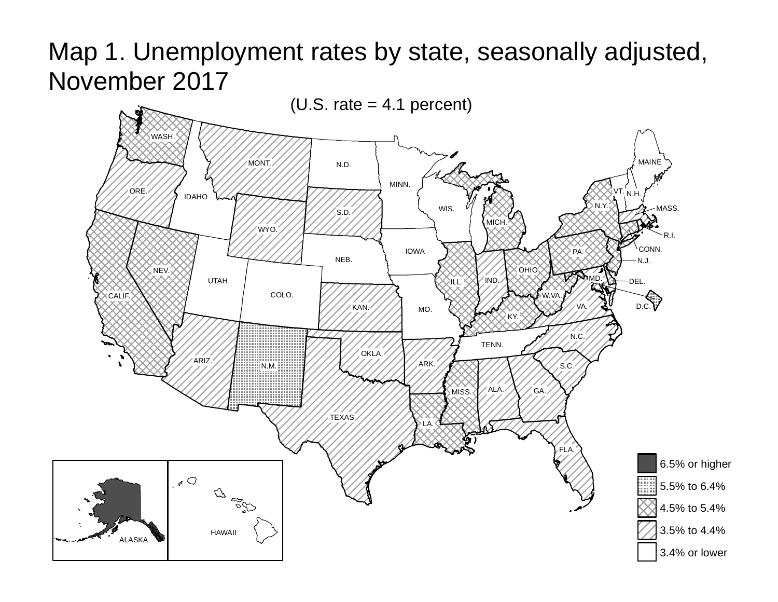Map 1. Unemployment rates by state, seasonally adjusted, November 2017